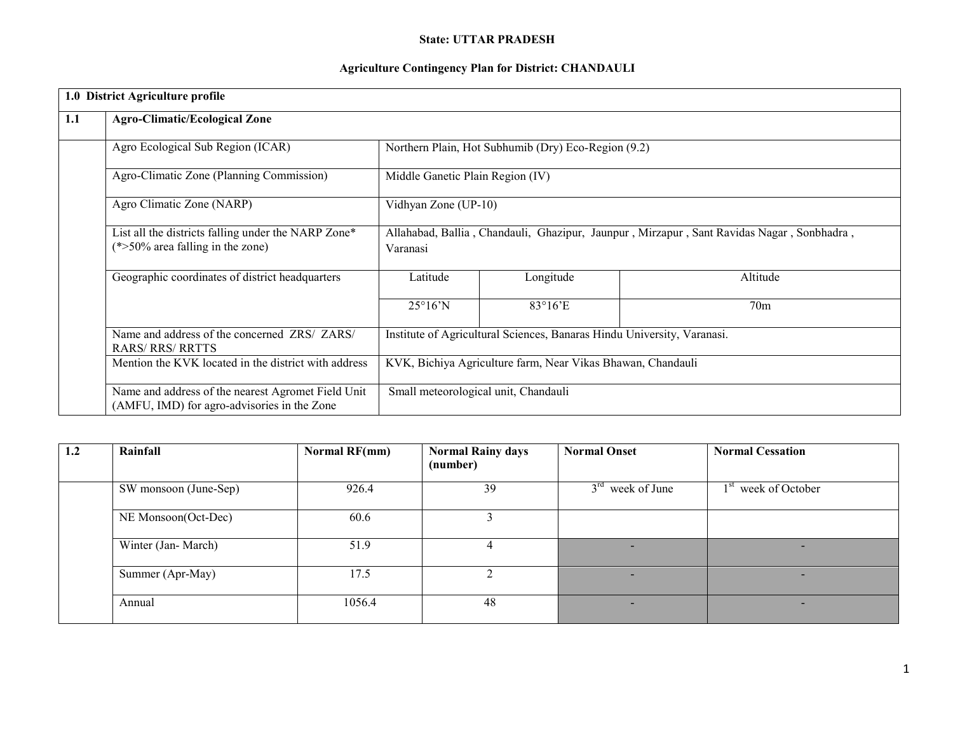### State: UTTAR PRADESH

## Agriculture Contingency Plan for District: CHANDAULI

|     | 1.0 District Agriculture profile                                                                  |                                                                                                       |                                                     |                 |  |  |
|-----|---------------------------------------------------------------------------------------------------|-------------------------------------------------------------------------------------------------------|-----------------------------------------------------|-----------------|--|--|
| 1.1 | <b>Agro-Climatic/Ecological Zone</b>                                                              |                                                                                                       |                                                     |                 |  |  |
|     | Agro Ecological Sub Region (ICAR)                                                                 |                                                                                                       | Northern Plain, Hot Subhumib (Dry) Eco-Region (9.2) |                 |  |  |
|     | Agro-Climatic Zone (Planning Commission)                                                          | Middle Ganetic Plain Region (IV)                                                                      |                                                     |                 |  |  |
|     | Agro Climatic Zone (NARP)                                                                         | Vidhyan Zone (UP-10)                                                                                  |                                                     |                 |  |  |
|     | List all the districts falling under the NARP Zone*<br>$(*>50\%$ area falling in the zone)        | Allahabad, Ballia, Chandauli, Ghazipur, Jaunpur, Mirzapur, Sant Ravidas Nagar, Sonbhadra,<br>Varanasi |                                                     |                 |  |  |
|     | Geographic coordinates of district headquarters                                                   | Latitude                                                                                              | Longitude                                           | Altitude        |  |  |
|     |                                                                                                   | $25^{\circ}16^{\prime}N$                                                                              | $83^{\circ}16$ <sup>E</sup>                         | 70 <sub>m</sub> |  |  |
|     | Name and address of the concerned ZRS/ ZARS/<br><b>RARS/ RRS/ RRTTS</b>                           | Institute of Agricultural Sciences, Banaras Hindu University, Varanasi.                               |                                                     |                 |  |  |
|     | Mention the KVK located in the district with address                                              | KVK, Bichiya Agriculture farm, Near Vikas Bhawan, Chandauli                                           |                                                     |                 |  |  |
|     | Name and address of the nearest Agromet Field Unit<br>(AMFU, IMD) for agro-advisories in the Zone | Small meteorological unit, Chandauli                                                                  |                                                     |                 |  |  |

| 1.2 | Rainfall              | Normal RF(mm) | <b>Normal Rainy days</b><br>(number) | <b>Normal Onset</b>      | <b>Normal Cessation</b>         |
|-----|-----------------------|---------------|--------------------------------------|--------------------------|---------------------------------|
|     | SW monsoon (June-Sep) | 926.4         | 39                                   | $3rd$ week of June       | 1 <sup>st</sup> week of October |
|     | NE Monsoon(Oct-Dec)   | 60.6          |                                      |                          |                                 |
|     | Winter (Jan-March)    | 51.9          |                                      |                          |                                 |
|     | Summer (Apr-May)      | 17.5          |                                      | $\overline{\phantom{a}}$ | $\overline{\phantom{a}}$        |
|     | Annual                | 1056.4        | 48                                   | $\overline{\phantom{a}}$ | $\overline{\phantom{a}}$        |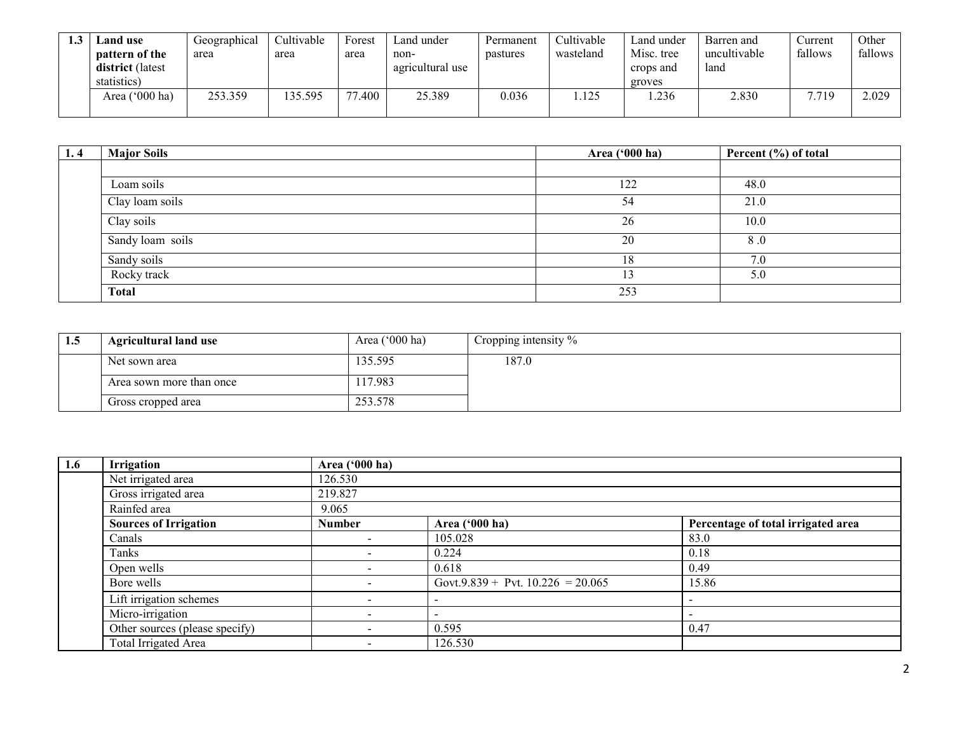| Land use                | Geographical | Cultivable | Forest | Land under       | Permanent | Cultivable | Land under | Barren and   | Current | Other   |
|-------------------------|--------------|------------|--------|------------------|-----------|------------|------------|--------------|---------|---------|
| <b>pattern of the</b>   | area         | area       | area   | non-             | pastures  | wasteland  | Misc. tree | uncultivable | fallows | fallows |
| <b>district</b> (latest |              |            |        | agricultural use |           |            | crops and  | land         |         |         |
| statistics)             |              |            |        |                  |           |            | groves     |              |         |         |
| Area ('000 ha)          | 253.359      | 35.595     | 77.400 | 25.389           | 0.036     | 125        | .236       | 2.830        | 7.719   | 2.029   |
|                         |              |            |        |                  |           |            |            |              |         |         |

| 1.4 | <b>Major Soils</b> | Area ('000 ha) | Percent $(\% )$ of total |
|-----|--------------------|----------------|--------------------------|
|     |                    |                |                          |
|     | Loam soils         | 122            | 48.0                     |
|     | Clay loam soils    | 54             | 21.0                     |
|     | Clay soils         | 26             | 10.0                     |
|     | Sandy loam soils   | 20             | 8.0                      |
|     | Sandy soils        | 18             | 7.0                      |
|     | Rocky track        | 13             | 5.0                      |
|     | <b>Total</b>       | 253            |                          |

| 1.5 | <b>Agricultural land use</b> | Area $('000 ha)$ | Cropping intensity $\%$ |
|-----|------------------------------|------------------|-------------------------|
|     | Net sown area                | 135.595          | 187.0                   |
|     | Area sown more than once     | 17.983ء          |                         |
|     | Gross cropped area           | 253.578          |                         |

| 1.6 | Irrigation                     | Area ('000 ha) |                                     |                                    |
|-----|--------------------------------|----------------|-------------------------------------|------------------------------------|
|     | Net irrigated area             | 126.530        |                                     |                                    |
|     | Gross irrigated area           | 219.827        |                                     |                                    |
|     | Rainfed area                   | 9.065          |                                     |                                    |
|     | <b>Sources of Irrigation</b>   | <b>Number</b>  | Area ('000 ha)                      | Percentage of total irrigated area |
|     | Canals                         |                | 105.028                             | 83.0                               |
|     | Tanks                          |                | 0.224                               | 0.18                               |
|     | Open wells                     |                | 0.618                               | 0.49                               |
|     | Bore wells                     |                | Govt.9.839 + Pvt. $10.226 = 20.065$ | 15.86                              |
|     | Lift irrigation schemes        |                |                                     |                                    |
|     | Micro-irrigation               |                |                                     |                                    |
|     | Other sources (please specify) |                | 0.595                               | 0.47                               |
|     | Total Irrigated Area           |                | 126.530                             |                                    |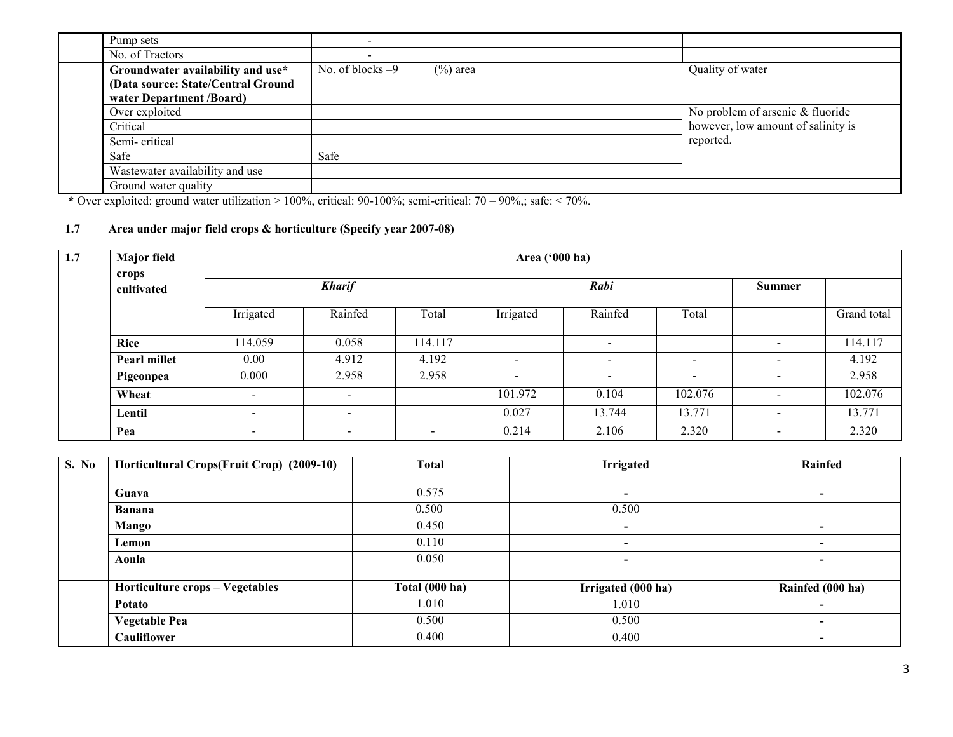| Pump sets                                                      |                    |             |                                    |
|----------------------------------------------------------------|--------------------|-------------|------------------------------------|
| No. of Tractors                                                |                    |             |                                    |
| Groundwater availability and use*                              | No. of blocks $-9$ | $(\%)$ area | Quality of water                   |
| (Data source: State/Central Ground<br>water Department /Board) |                    |             |                                    |
| Over exploited                                                 |                    |             | No problem of arsenic & fluoride   |
| Critical                                                       |                    |             | however, low amount of salinity is |
| Semi-critical                                                  |                    |             | reported.                          |
| Safe                                                           | Safe               |             |                                    |
| Wastewater availability and use                                |                    |             |                                    |
| Ground water quality                                           |                    |             |                                    |

\* Over exploited: ground water utilization > 100%, critical:  $90-100\%$ ; semi-critical:  $70-90\%$ ; safe: < 70%.

## 1.7 Area under major field crops & horticulture (Specify year 2007-08)

| 1.7 | <b>Major field</b><br>crops |                          | Area ('000 ha)           |                          |                          |                          |                          |                          |             |  |  |
|-----|-----------------------------|--------------------------|--------------------------|--------------------------|--------------------------|--------------------------|--------------------------|--------------------------|-------------|--|--|
|     | cultivated                  | <b>Kharif</b>            |                          | Rabi                     |                          |                          | Summer                   |                          |             |  |  |
|     |                             | Irrigated                | Rainfed                  | Total                    | Irrigated                | Rainfed                  | Total                    |                          | Grand total |  |  |
|     | Rice                        | 114.059                  | 0.058                    | 114.117                  |                          | $\sim$                   |                          | $\blacksquare$           | 114.117     |  |  |
|     | Pearl millet                | 0.00                     | 4.912                    | 4.192                    | $\sim$                   | $\overline{\phantom{0}}$ | $\overline{\phantom{a}}$ | $\blacksquare$           | 4.192       |  |  |
|     | Pigeonpea                   | 0.000                    | 2.958                    | 2.958                    | $\overline{\phantom{a}}$ | $\overline{\phantom{0}}$ | $\overline{\phantom{a}}$ |                          | 2.958       |  |  |
|     | Wheat                       | $\overline{\phantom{0}}$ | $\sim$                   |                          | 101.972                  | 0.104                    | 102.076                  | $\blacksquare$           | 102.076     |  |  |
|     | Lentil                      | $\overline{\phantom{0}}$ | $\overline{\phantom{0}}$ |                          | 0.027                    | 13.744                   | 13.771                   | $\blacksquare$           | 13.771      |  |  |
|     | Pea                         | $\overline{\phantom{0}}$ |                          | $\overline{\phantom{a}}$ | 0.214                    | 2.106                    | 2.320                    | $\overline{\phantom{a}}$ | 2.320       |  |  |

| S. No | Horticultural Crops(Fruit Crop) (2009-10) | <b>Total</b>   | <b>Irrigated</b>         | Rainfed                  |
|-------|-------------------------------------------|----------------|--------------------------|--------------------------|
|       |                                           |                |                          |                          |
|       | Guava                                     | 0.575          | $\blacksquare$           | $\overline{\phantom{a}}$ |
|       | Banana                                    | 0.500          | 0.500                    |                          |
|       | Mango                                     | 0.450          | $\blacksquare$           | $\,$                     |
|       | Lemon                                     | 0.110          | $\blacksquare$           | $\overline{\phantom{0}}$ |
|       | Aonla                                     | 0.050          | $\overline{\phantom{0}}$ | $\overline{\phantom{0}}$ |
|       |                                           |                |                          |                          |
|       | Horticulture crops - Vegetables           | Total (000 ha) | Irrigated (000 ha)       | Rainfed (000 ha)         |
|       | Potato                                    | 1.010          | 1.010                    | -                        |
|       | <b>Vegetable Pea</b>                      | 0.500          | 0.500                    | $\overline{\phantom{a}}$ |
|       | <b>Cauliflower</b>                        | 0.400          | 0.400                    | ۰                        |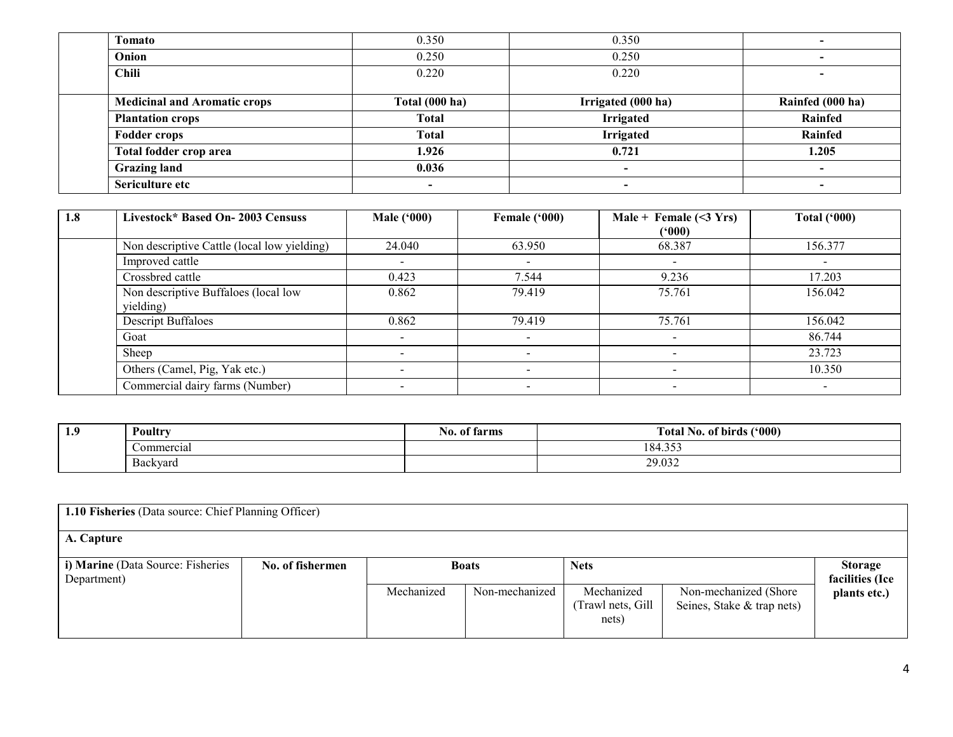| Tomato                              | 0.350          | 0.350              |                  |
|-------------------------------------|----------------|--------------------|------------------|
| Onion                               | 0.250          | 0.250              |                  |
| <b>Chili</b>                        | 0.220          | 0.220              |                  |
|                                     |                |                    |                  |
| <b>Medicinal and Aromatic crops</b> | Total (000 ha) | Irrigated (000 ha) | Rainfed (000 ha) |
| <b>Plantation crops</b>             | <b>Total</b>   | <b>Irrigated</b>   | Rainfed          |
| <b>Fodder crops</b>                 | <b>Total</b>   | <b>Irrigated</b>   | Rainfed          |
| Total fodder crop area              | 1.926          | 0.721              | 1.205            |
| <b>Grazing land</b>                 | 0.036          | $\blacksquare$     | $\blacksquare$   |
| Sericulture etc                     |                |                    |                  |

| 1.8 | Livestock* Based On-2003 Censuss                  | <b>Male ('000)</b> | Female ('000) | Male + Female $(\leq 3 \text{ Yrs})$<br>(*000) | Total $(900)$            |
|-----|---------------------------------------------------|--------------------|---------------|------------------------------------------------|--------------------------|
|     | Non descriptive Cattle (local low yielding)       | 24.040             | 63.950        | 68.387                                         | 156.377                  |
|     | Improved cattle                                   |                    |               |                                                | $\overline{\phantom{a}}$ |
|     | Crossbred cattle                                  | 0.423              | 7.544         | 9.236                                          | 17.203                   |
|     | Non descriptive Buffaloes (local low<br>yielding) | 0.862              | 79.419        | 75.761                                         | 156.042                  |
|     | <b>Descript Buffaloes</b>                         | 0.862              | 79.419        | 75.761                                         | 156.042                  |
|     | Goat                                              |                    |               |                                                | 86.744                   |
|     | Sheep                                             |                    |               |                                                | 23.723                   |
|     | Others (Camel, Pig, Yak etc.)                     |                    |               |                                                | 10.350                   |
|     | Commercial dairy farms (Number)                   |                    |               |                                                |                          |

| 1.9 | Poultry                              | tarms<br>-170.<br>01 | (5000)<br>No. of birds<br>rotal - |
|-----|--------------------------------------|----------------------|-----------------------------------|
|     | Commercial                           |                      | $\sim$ $\sim$ $\sim$<br>- 04<br>  |
|     | $\overline{\phantom{a}}$<br>Backyard |                      | 29.032                            |

| 1.10 Fisheries (Data source: Chief Planning Officer) |                  |            |                |                                          |                                                      |                                   |  |
|------------------------------------------------------|------------------|------------|----------------|------------------------------------------|------------------------------------------------------|-----------------------------------|--|
| A. Capture                                           |                  |            |                |                                          |                                                      |                                   |  |
| i) Marine (Data Source: Fisheries<br>Department)     | No. of fishermen |            | <b>Boats</b>   | <b>Nets</b>                              |                                                      | <b>Storage</b><br>facilities (Ice |  |
|                                                      |                  | Mechanized | Non-mechanized | Mechanized<br>(Trawl nets, Gill<br>nets) | Non-mechanized (Shore)<br>Seines, Stake & trap nets) | plants etc.)                      |  |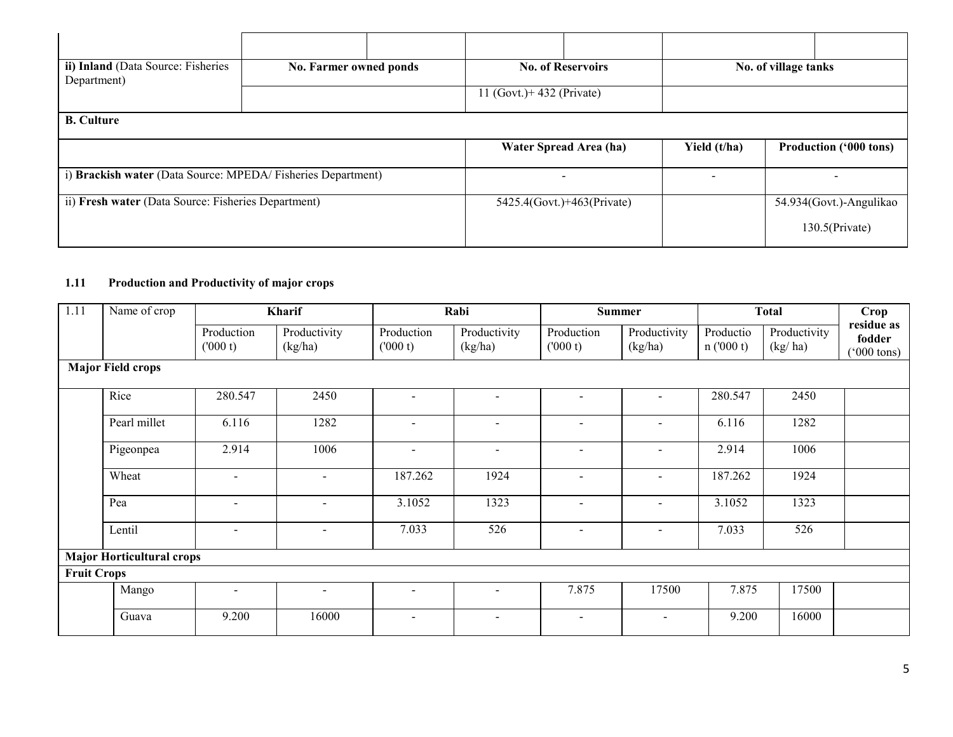| ii) Inland (Data Source: Fisheries<br>Department)           | No. Farmer owned ponds |  |                              | <b>No. of Reservoirs</b>   |              | No. of village tanks          |  |
|-------------------------------------------------------------|------------------------|--|------------------------------|----------------------------|--------------|-------------------------------|--|
|                                                             |                        |  | $11$ (Govt.) + 432 (Private) |                            |              |                               |  |
| <b>B.</b> Culture                                           |                        |  |                              |                            |              |                               |  |
|                                                             |                        |  |                              | Water Spread Area (ha)     | Yield (t/ha) | <b>Production ('000 tons)</b> |  |
| i) Brackish water (Data Source: MPEDA/Fisheries Department) |                        |  |                              | $\,$                       |              | $\overline{\phantom{0}}$      |  |
| ii) Fresh water (Data Source: Fisheries Department)         |                        |  |                              | 5425.4(Govt.)+463(Private) |              | 54.934(Govt.)-Angulikao       |  |
|                                                             |                        |  |                              |                            |              | $130.5$ (Private)             |  |

### 1.11 Production and Productivity of major crops

| 1.11               | Name of crop                     |                          | Kharif                   |                          | Rabi                     |                          | <b>Total</b><br>Summer  |                       | Crop                    |                                              |
|--------------------|----------------------------------|--------------------------|--------------------------|--------------------------|--------------------------|--------------------------|-------------------------|-----------------------|-------------------------|----------------------------------------------|
|                    |                                  | Production<br>(000 t)    | Productivity<br>(kg/ha)  | Production<br>(000 t)    | Productivity<br>(kg/ha)  | Production<br>(000 t)    | Productivity<br>(kg/ha) | Productio<br>n(000 t) | Productivity<br>(kg/ha) | residue as<br>fodder<br>$(000 \text{ tons})$ |
|                    | <b>Major Field crops</b>         |                          |                          |                          |                          |                          |                         |                       |                         |                                              |
|                    | Rice                             | 280.547                  | 2450                     |                          |                          | $\sim$                   | $\overline{a}$          | 280.547               | 2450                    |                                              |
|                    | Pearl millet                     | 6.116                    | 1282                     |                          |                          | -                        | -                       | 6.116                 | 1282                    |                                              |
|                    | Pigeonpea                        | 2.914                    | 1006                     | $\overline{\phantom{a}}$ | $\overline{\phantom{a}}$ | $\overline{\phantom{a}}$ | -                       | 2.914                 | 1006                    |                                              |
|                    | Wheat                            | $\overline{\phantom{a}}$ | $\blacksquare$           | 187.262                  | 1924                     | -                        | $\blacksquare$          | 187.262               | 1924                    |                                              |
|                    | Pea                              | $\overline{\phantom{a}}$ | $\blacksquare$           | 3.1052                   | 1323                     | -                        | $\blacksquare$          | 3.1052                | 1323                    |                                              |
|                    | Lentil                           | $\overline{\phantom{a}}$ | $\overline{\phantom{a}}$ | 7.033                    | 526                      | $\blacksquare$           | -                       | 7.033                 | 526                     |                                              |
|                    | <b>Major Horticultural crops</b> |                          |                          |                          |                          |                          |                         |                       |                         |                                              |
| <b>Fruit Crops</b> |                                  |                          |                          |                          |                          |                          |                         |                       |                         |                                              |
|                    | Mango                            | $\sim$                   | $\blacksquare$           | $\overline{\phantom{0}}$ | $\sim$                   | 7.875                    | 17500                   | 7.875                 | 17500                   |                                              |
|                    | Guava                            | 9.200                    | 16000                    | $\sim$                   | $\sim$                   | $\sim$                   | $\sim$                  | 9.200                 | 16000                   |                                              |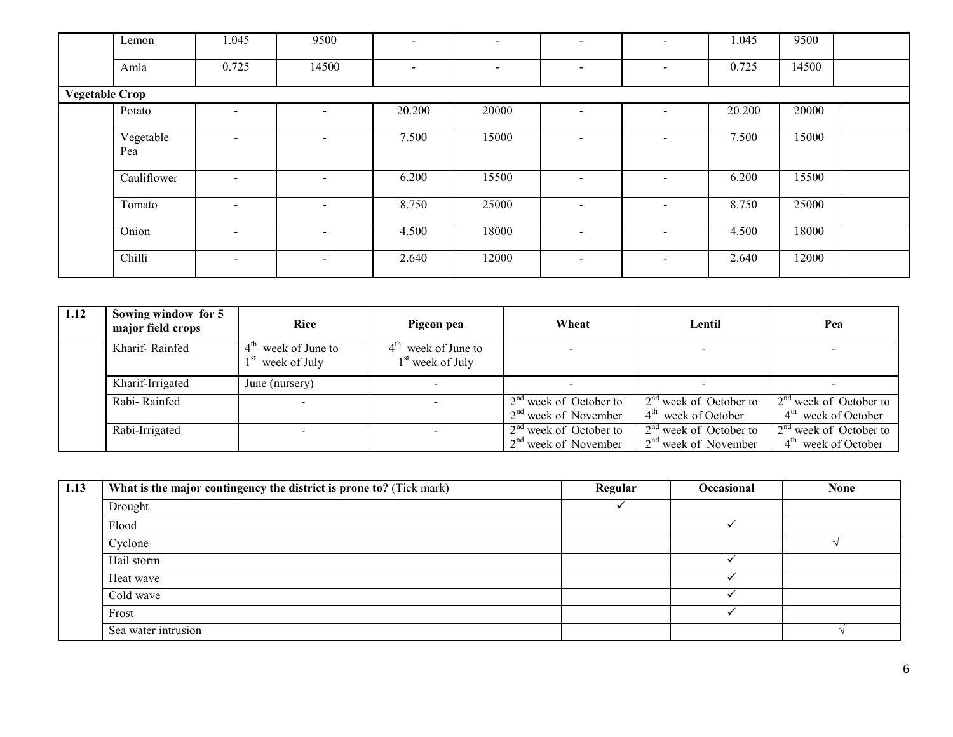| Lemon                 | 1.045                    | 9500                     | $\overline{\phantom{0}}$ | $\overline{\phantom{a}}$ |                          |                          | 1.045  | 9500  |  |
|-----------------------|--------------------------|--------------------------|--------------------------|--------------------------|--------------------------|--------------------------|--------|-------|--|
| Amla                  | 0.725                    | 14500                    | $\overline{\phantom{0}}$ | $\overline{\phantom{0}}$ |                          | $\overline{\phantom{0}}$ | 0.725  | 14500 |  |
| <b>Vegetable Crop</b> |                          |                          |                          |                          |                          |                          |        |       |  |
| Potato                |                          | $\overline{\phantom{a}}$ | 20.200                   | 20000                    | $\overline{\phantom{a}}$ | $\blacksquare$           | 20.200 | 20000 |  |
| Vegetable<br>Pea      |                          | $\overline{\phantom{a}}$ | 7.500                    | 15000                    | $\,$                     | -                        | 7.500  | 15000 |  |
| Cauliflower           |                          | $\overline{\phantom{a}}$ | 6.200                    | 15500                    | $\,$                     | ۰                        | 6.200  | 15500 |  |
| Tomato                |                          | $\overline{\phantom{a}}$ | 8.750                    | 25000                    | $\,$                     | -                        | 8.750  | 25000 |  |
| Onion                 | $\sim$                   | $\overline{\phantom{a}}$ | 4.500                    | 18000                    | $\overline{\phantom{a}}$ | -                        | 4.500  | 18000 |  |
| Chilli                | $\overline{\phantom{0}}$ | $\overline{\phantom{a}}$ | 2.640                    | 12000                    | $\overline{\phantom{a}}$ | ۰                        | 2.640  | 12000 |  |

| 1.12 | Sowing window for 5<br>major field crops | Rice                                               | Pigeon pea                                            | Wheat                                              | Lentil                                             | Pea                                                         |
|------|------------------------------------------|----------------------------------------------------|-------------------------------------------------------|----------------------------------------------------|----------------------------------------------------|-------------------------------------------------------------|
|      | Kharif-Rainfed                           | $4^{\text{tn}}$<br>week of June to<br>week of July | $4th$ week of June to<br>1 <sup>st</sup> week of July |                                                    |                                                    |                                                             |
|      | Kharif-Irrigated                         | June (nursery)                                     |                                                       |                                                    |                                                    |                                                             |
|      | Rabi-Rainfed                             |                                                    |                                                       | $2nd$ week of October to<br>$2nd$ week of November | $2nd$ week of October to<br>$4th$ week of October  | $2nd$ week of October to<br>4 <sup>th</sup> week of October |
|      | Rabi-Irrigated                           |                                                    |                                                       | $2nd$ week of October to<br>$2nd$ week of November | $2nd$ week of October to<br>$2nd$ week of November | $2nd$ week of October to<br>4 <sup>th</sup> week of October |

| 1.13 | What is the major contingency the district is prone to? (Tick mark) | Regular | Occasional | <b>None</b> |
|------|---------------------------------------------------------------------|---------|------------|-------------|
|      | Drought                                                             |         |            |             |
|      | Flood                                                               |         |            |             |
|      | Cyclone                                                             |         |            |             |
|      | Hail storm                                                          |         |            |             |
|      | Heat wave                                                           |         |            |             |
|      | Cold wave                                                           |         |            |             |
|      | Frost                                                               |         |            |             |
|      | Sea water intrusion                                                 |         |            |             |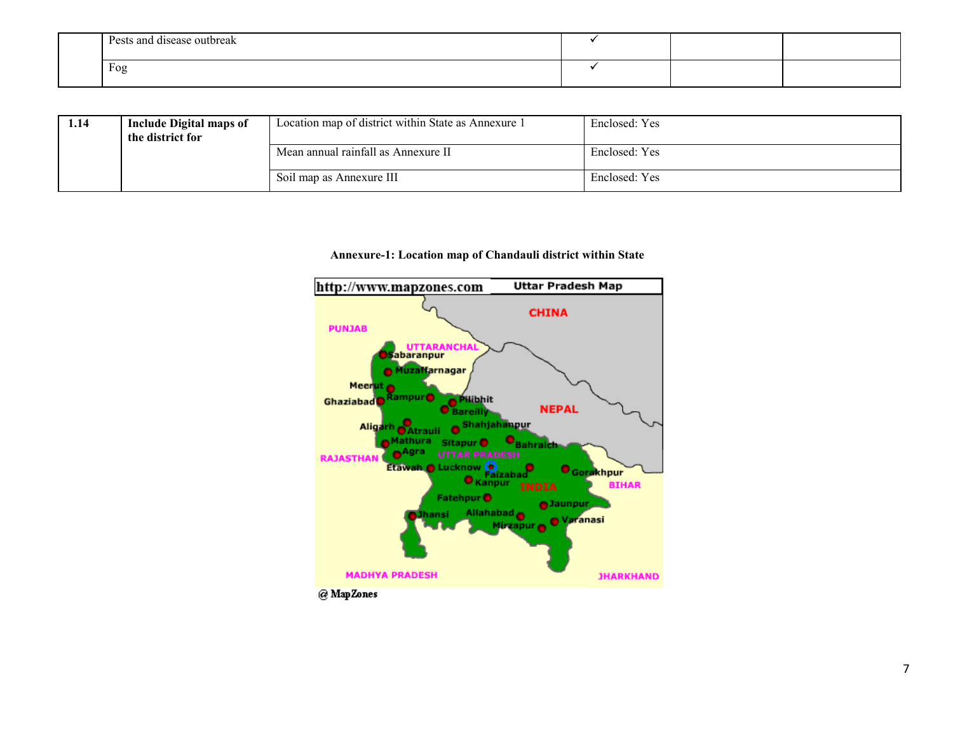| Pests and disease outbreak<br>. |  |  |
|---------------------------------|--|--|
| Fog                             |  |  |

| 1.14 | <b>Include Digital maps of</b><br>the district for | Location map of district within State as Annexure 1 | Enclosed: Yes |
|------|----------------------------------------------------|-----------------------------------------------------|---------------|
|      |                                                    | Mean annual rainfall as Annexure II                 | Enclosed: Yes |
|      |                                                    | Soil map as Annexure III                            | Enclosed: Yes |

#### Annexure-1: Location map of Chandauli district within State

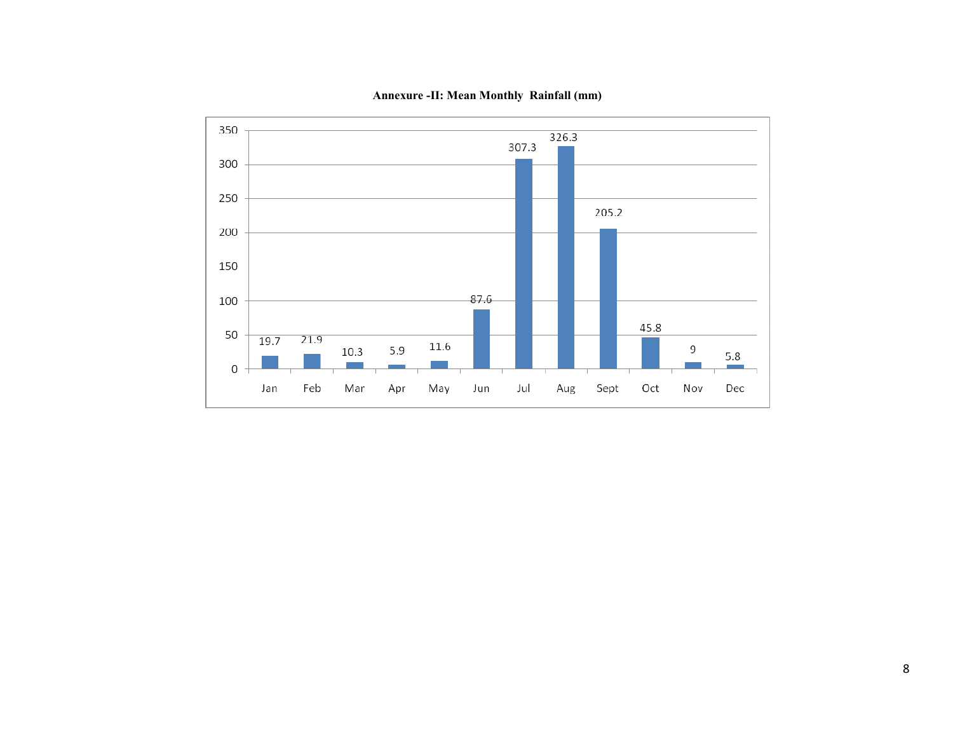

Annexure -II: Mean Monthly Rainfall (mm)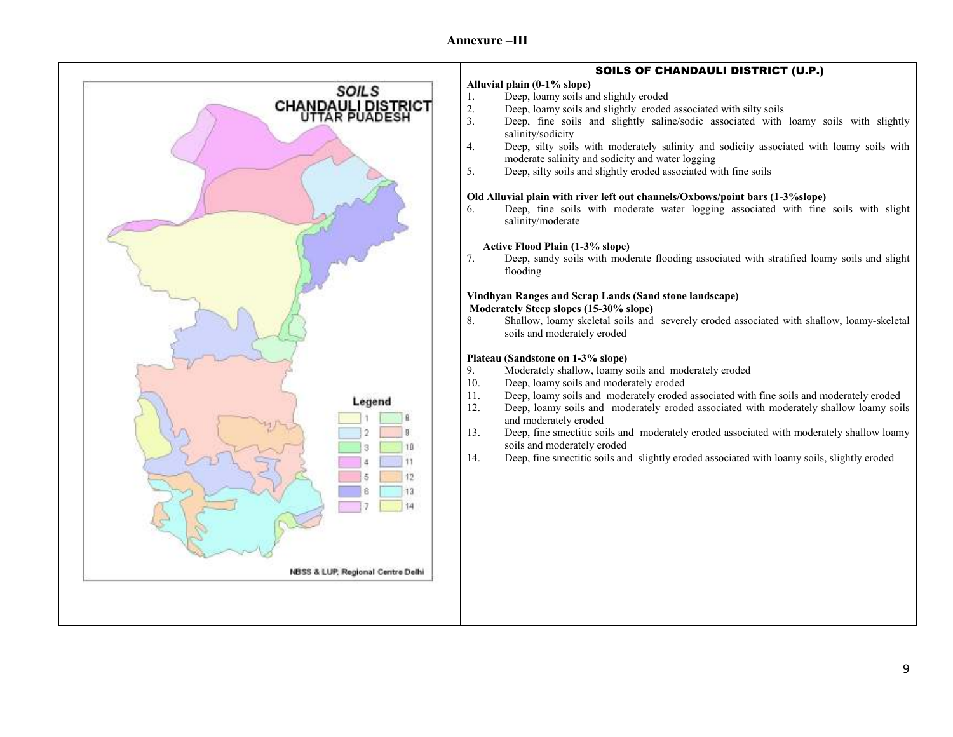

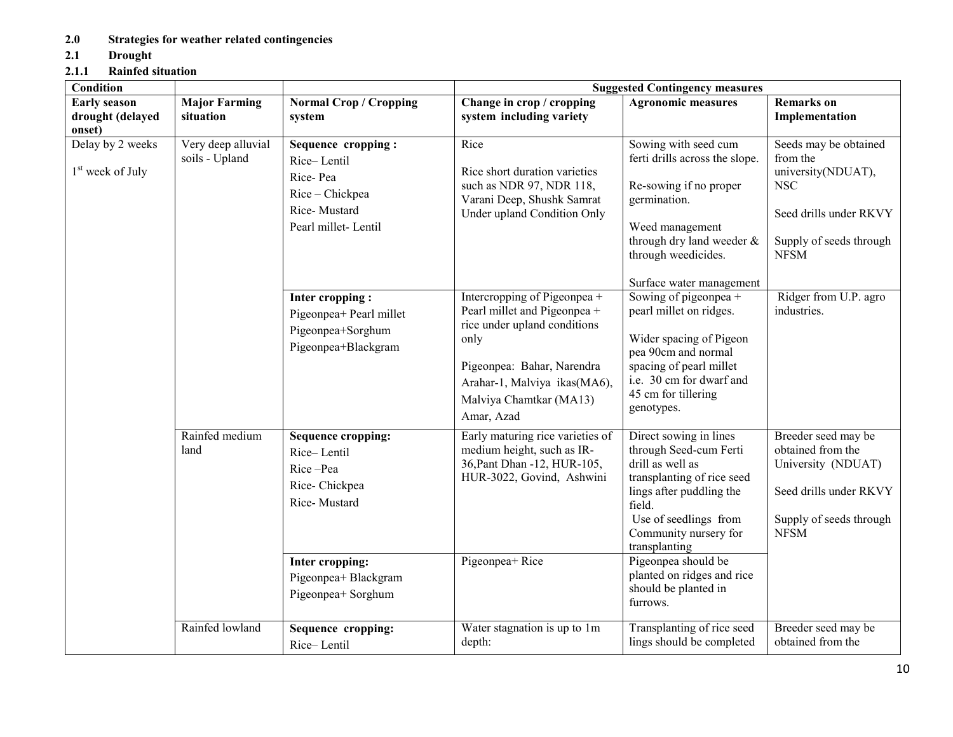## 2.0 Strategies for weather related contingencies

2.1 Drought

# 2.1.1 Rainfed situation

| Condition                                         |                                      |                                                                                                         | <b>Suggested Contingency measures</b>                                                                                                                                                                       |                                                                                                                                                                                                                            |                                                                                                                                           |  |  |
|---------------------------------------------------|--------------------------------------|---------------------------------------------------------------------------------------------------------|-------------------------------------------------------------------------------------------------------------------------------------------------------------------------------------------------------------|----------------------------------------------------------------------------------------------------------------------------------------------------------------------------------------------------------------------------|-------------------------------------------------------------------------------------------------------------------------------------------|--|--|
| <b>Early season</b><br>drought (delayed<br>onset) | <b>Major Farming</b><br>situation    | <b>Normal Crop / Cropping</b><br>system                                                                 | Change in crop / cropping<br>system including variety                                                                                                                                                       | <b>Agronomic measures</b>                                                                                                                                                                                                  | <b>Remarks</b> on<br>Implementation                                                                                                       |  |  |
| Delay by 2 weeks<br>1 <sup>st</sup> week of July  | Very deep alluvial<br>soils - Upland | Sequence cropping:<br>Rice-Lentil<br>Rice-Pea<br>Rice - Chickpea<br>Rice-Mustard<br>Pearl millet-Lentil | Rice<br>Rice short duration varieties<br>such as NDR 97, NDR 118,<br>Varani Deep, Shushk Samrat<br>Under upland Condition Only                                                                              | Sowing with seed cum<br>ferti drills across the slope.<br>Re-sowing if no proper<br>germination.<br>Weed management<br>through dry land weeder &<br>through weedicides.                                                    | Seeds may be obtained<br>from the<br>university(NDUAT),<br><b>NSC</b><br>Seed drills under RKVY<br>Supply of seeds through<br><b>NFSM</b> |  |  |
|                                                   |                                      | Inter cropping:<br>Pigeonpea+ Pearl millet<br>Pigeonpea+Sorghum<br>Pigeonpea+Blackgram                  | Intercropping of Pigeonpea +<br>Pearl millet and Pigeonpea +<br>rice under upland conditions<br>only<br>Pigeonpea: Bahar, Narendra<br>Arahar-1, Malviya ikas(MA6),<br>Malviya Chamtkar (MA13)<br>Amar, Azad | Surface water management<br>Sowing of pigeonpea +<br>pearl millet on ridges.<br>Wider spacing of Pigeon<br>pea 90cm and normal<br>spacing of pearl millet<br>i.e. 30 cm for dwarf and<br>45 cm for tillering<br>genotypes. | Ridger from U.P. agro<br>industries.                                                                                                      |  |  |
|                                                   | Rainfed medium<br>land               | <b>Sequence cropping:</b><br>Rice-Lentil<br>Rice-Pea<br>Rice-Chickpea<br>Rice-Mustard                   | Early maturing rice varieties of<br>medium height, such as IR-<br>36, Pant Dhan -12, HUR-105,<br>HUR-3022, Govind, Ashwini                                                                                  | Direct sowing in lines<br>through Seed-cum Ferti<br>drill as well as<br>transplanting of rice seed<br>lings after puddling the<br>field.<br>Use of seedlings from<br>Community nursery for<br>transplanting                | Breeder seed may be<br>obtained from the<br>University (NDUAT)<br>Seed drills under RKVY<br>Supply of seeds through<br><b>NFSM</b>        |  |  |
|                                                   | Rainfed lowland                      | Inter cropping:<br>Pigeonpea+ Blackgram<br>Pigeonpea+ Sorghum<br>Sequence cropping:<br>Rice-Lentil      | Pigeonpea+Rice<br>Water stagnation is up to 1m<br>depth:                                                                                                                                                    | Pigeonpea should be<br>planted on ridges and rice<br>should be planted in<br>furrows.<br>Transplanting of rice seed<br>lings should be completed                                                                           | Breeder seed may be<br>obtained from the                                                                                                  |  |  |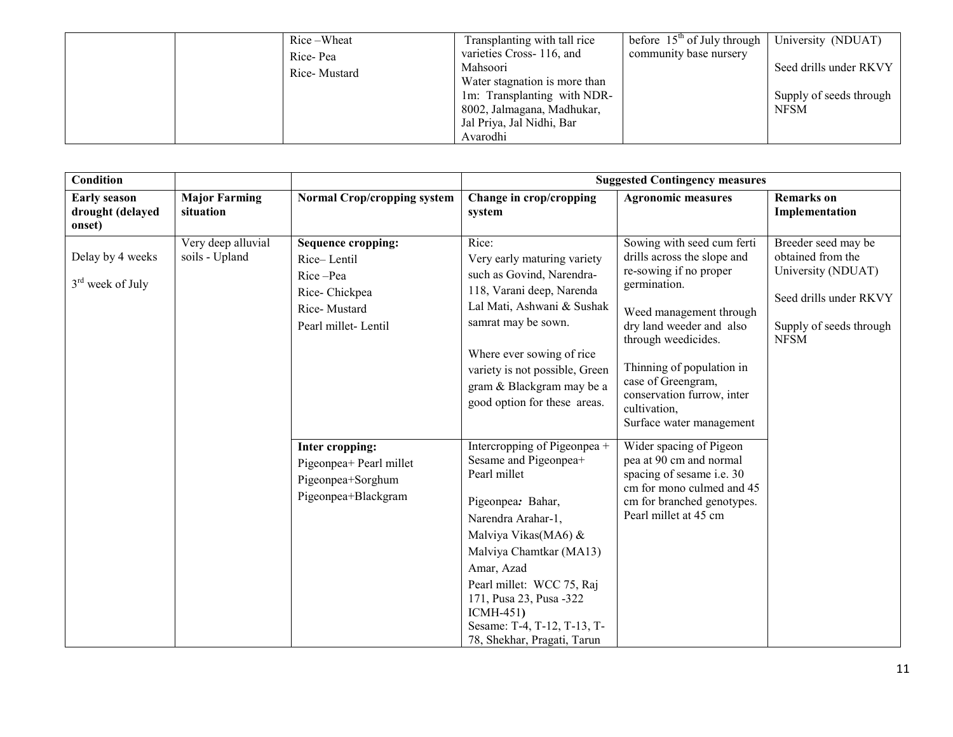| Rice-Wheat   | Transplanting with tall rice  | before $15th$ of July through | University (NDUAT)      |
|--------------|-------------------------------|-------------------------------|-------------------------|
| Rice-Pea     | varieties Cross-116, and      | community base nursery        |                         |
| Rice-Mustard | Mahsoori                      |                               | Seed drills under RKVY  |
|              | Water stagnation is more than |                               |                         |
|              | 1m: Transplanting with NDR-   |                               | Supply of seeds through |
|              | 8002, Jalmagana, Madhukar,    |                               | <b>NFSM</b>             |
|              | Jal Priya, Jal Nidhi, Bar     |                               |                         |
|              | Avarodhi                      |                               |                         |

| <b>Condition</b>                                  |                                      |                                                                                                              |                                                                                                                                                                                                                                                                                                                       | <b>Suggested Contingency measures</b>                                                                                                                                                                                                                                                                          |                                                                                                                                    |
|---------------------------------------------------|--------------------------------------|--------------------------------------------------------------------------------------------------------------|-----------------------------------------------------------------------------------------------------------------------------------------------------------------------------------------------------------------------------------------------------------------------------------------------------------------------|----------------------------------------------------------------------------------------------------------------------------------------------------------------------------------------------------------------------------------------------------------------------------------------------------------------|------------------------------------------------------------------------------------------------------------------------------------|
| <b>Early season</b><br>drought (delayed<br>onset) | <b>Major Farming</b><br>situation    | <b>Normal Crop/cropping system</b>                                                                           | Change in crop/cropping<br>system                                                                                                                                                                                                                                                                                     | <b>Agronomic measures</b>                                                                                                                                                                                                                                                                                      | <b>Remarks</b> on<br>Implementation                                                                                                |
| Delay by 4 weeks<br>$3rd$ week of July            | Very deep alluvial<br>soils - Upland | <b>Sequence cropping:</b><br>Rice-Lentil<br>Rice-Pea<br>Rice-Chickpea<br>Rice-Mustard<br>Pearl millet-Lentil | Rice:<br>Very early maturing variety<br>such as Govind, Narendra-<br>118, Varani deep, Narenda<br>Lal Mati, Ashwani & Sushak<br>samrat may be sown.<br>Where ever sowing of rice<br>variety is not possible, Green<br>gram & Blackgram may be a<br>good option for these areas.                                       | Sowing with seed cum ferti<br>drills across the slope and<br>re-sowing if no proper<br>germination.<br>Weed management through<br>dry land weeder and also<br>through weedicides.<br>Thinning of population in<br>case of Greengram,<br>conservation furrow, inter<br>cultivation,<br>Surface water management | Breeder seed may be<br>obtained from the<br>University (NDUAT)<br>Seed drills under RKVY<br>Supply of seeds through<br><b>NFSM</b> |
|                                                   |                                      | Inter cropping:<br>Pigeonpea+ Pearl millet<br>Pigeonpea+Sorghum<br>Pigeonpea+Blackgram                       | Intercropping of Pigeonpea +<br>Sesame and Pigeonpea+<br>Pearl millet<br>Pigeonpea: Bahar,<br>Narendra Arahar-1,<br>Malviya Vikas(MA6) &<br>Malviya Chamtkar (MA13)<br>Amar, Azad<br>Pearl millet: WCC 75, Raj<br>171, Pusa 23, Pusa -322<br>$ICMH-451$<br>Sesame: T-4, T-12, T-13, T-<br>78, Shekhar, Pragati, Tarun | Wider spacing of Pigeon<br>pea at 90 cm and normal<br>spacing of sesame i.e. 30<br>cm for mono culmed and 45<br>cm for branched genotypes.<br>Pearl millet at 45 cm                                                                                                                                            |                                                                                                                                    |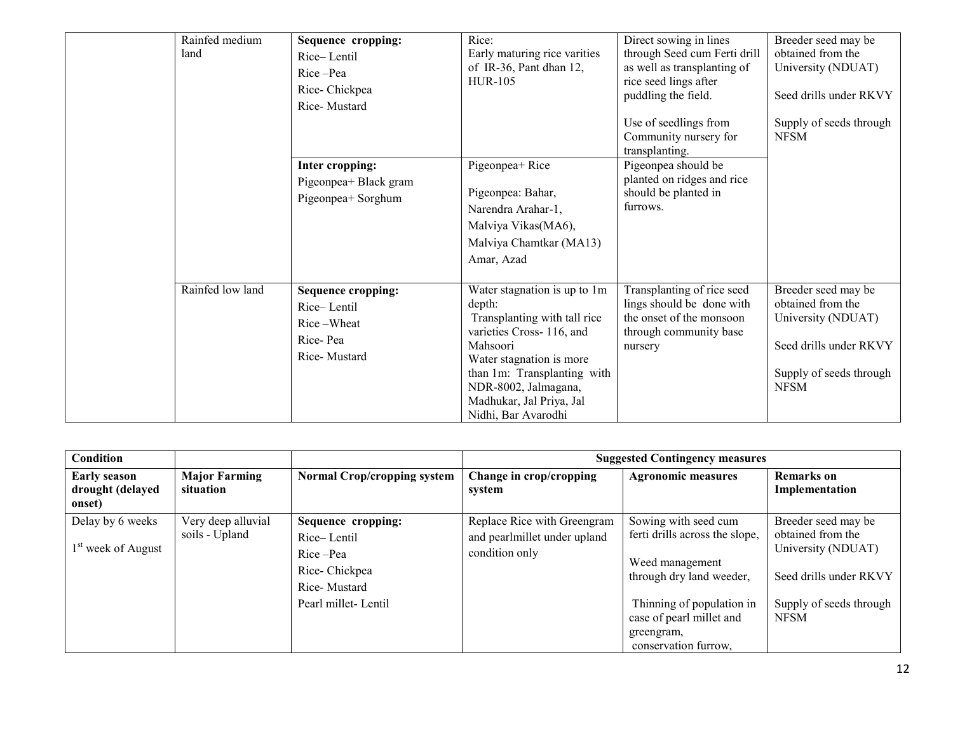| Rainfed medium<br>land | Sequence cropping:<br>Rice-Lentil<br>Rice-Pea<br>Rice-Chickpea<br>Rice-Mustard<br>Inter cropping:<br>Pigeonpea+ Black gram<br>Pigeonpea+ Sorghum | Rice:<br>Early maturing rice varities<br>of IR-36, Pant dhan 12,<br><b>HUR-105</b><br>Pigeonpea+Rice<br>Pigeonpea: Bahar,<br>Narendra Arahar-1,<br>Malviya Vikas(MA6),<br>Malviya Chamtkar (MA13)<br>Amar, Azad                                      | Direct sowing in lines<br>through Seed cum Ferti drill<br>as well as transplanting of<br>rice seed lings after<br>puddling the field.<br>Use of seedlings from<br>Community nursery for<br>transplanting.<br>Pigeonpea should be<br>planted on ridges and rice<br>should be planted in<br>furrows. | Breeder seed may be<br>obtained from the<br>University (NDUAT)<br>Seed drills under RKVY<br>Supply of seeds through<br><b>NFSM</b> |
|------------------------|--------------------------------------------------------------------------------------------------------------------------------------------------|------------------------------------------------------------------------------------------------------------------------------------------------------------------------------------------------------------------------------------------------------|----------------------------------------------------------------------------------------------------------------------------------------------------------------------------------------------------------------------------------------------------------------------------------------------------|------------------------------------------------------------------------------------------------------------------------------------|
| Rainfed low land       | <b>Sequence cropping:</b><br>Rice-Lentil<br>Rice-Wheat<br>Rice-Pea<br>Rice-Mustard                                                               | Water stagnation is up to 1m<br>depth:<br>Transplanting with tall rice<br>varieties Cross-116, and<br>Mahsoori<br>Water stagnation is more<br>than 1m: Transplanting with<br>NDR-8002, Jalmagana,<br>Madhukar, Jal Priya, Jal<br>Nidhi, Bar Avarodhi | Transplanting of rice seed<br>lings should be done with<br>the onset of the monsoon<br>through community base<br>nursery                                                                                                                                                                           | Breeder seed may be<br>obtained from the<br>University (NDUAT)<br>Seed drills under RKVY<br>Supply of seeds through<br><b>NFSM</b> |

| Condition                                          |                                      |                                                                                                       |                                                                               | <b>Suggested Contingency measures</b>                                                                                                                                                                |                                                                                                                                    |
|----------------------------------------------------|--------------------------------------|-------------------------------------------------------------------------------------------------------|-------------------------------------------------------------------------------|------------------------------------------------------------------------------------------------------------------------------------------------------------------------------------------------------|------------------------------------------------------------------------------------------------------------------------------------|
| <b>Early season</b><br>drought (delayed<br>onset)  | <b>Major Farming</b><br>situation    | <b>Normal Crop/cropping system</b>                                                                    | Change in crop/cropping<br>system                                             | <b>Agronomic measures</b>                                                                                                                                                                            | <b>Remarks</b> on<br>Implementation                                                                                                |
| Delay by 6 weeks<br>1 <sup>st</sup> week of August | Very deep alluvial<br>soils - Upland | Sequence cropping:<br>Rice-Lentil<br>Rice-Pea<br>Rice-Chickpea<br>Rice-Mustard<br>Pearl millet-Lentil | Replace Rice with Greengram<br>and pearlmillet under upland<br>condition only | Sowing with seed cum<br>ferti drills across the slope,<br>Weed management<br>through dry land weeder,<br>Thinning of population in<br>case of pearl millet and<br>greengram,<br>conservation furrow. | Breeder seed may be<br>obtained from the<br>University (NDUAT)<br>Seed drills under RKVY<br>Supply of seeds through<br><b>NFSM</b> |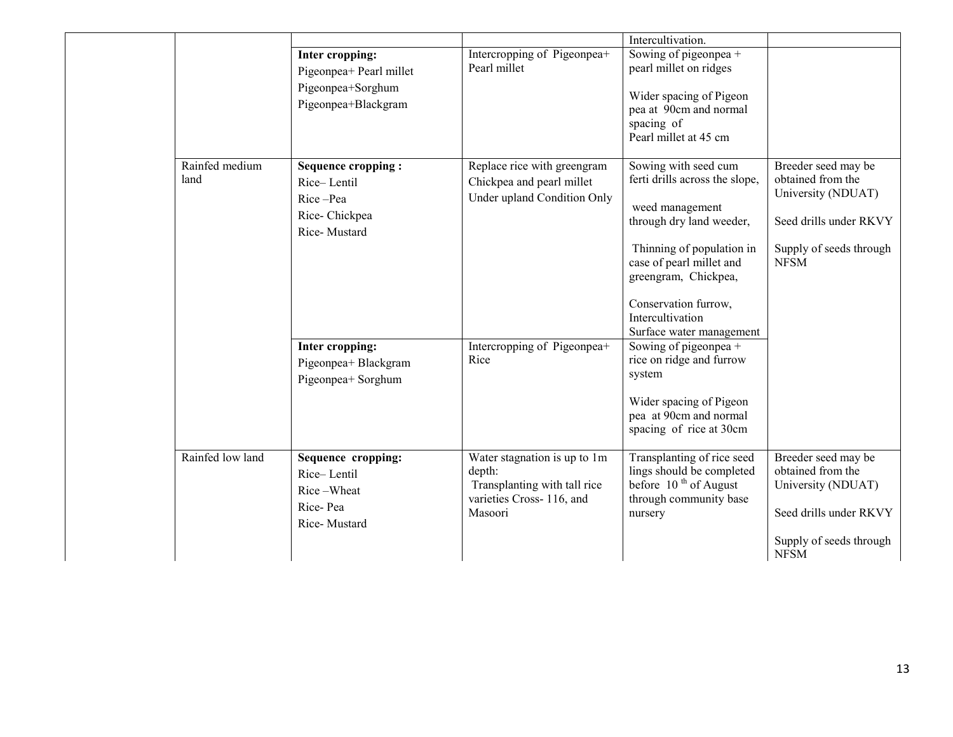|                        |                                                                                                                                                 |                                                                                                                                | Intercultivation.                                                                                                                                                                                                                                                                                                                                                                                             |                                                                                                                                    |
|------------------------|-------------------------------------------------------------------------------------------------------------------------------------------------|--------------------------------------------------------------------------------------------------------------------------------|---------------------------------------------------------------------------------------------------------------------------------------------------------------------------------------------------------------------------------------------------------------------------------------------------------------------------------------------------------------------------------------------------------------|------------------------------------------------------------------------------------------------------------------------------------|
|                        | Inter cropping:<br>Pigeonpea+ Pearl millet<br>Pigeonpea+Sorghum<br>Pigeonpea+Blackgram                                                          | Intercropping of Pigeonpea+<br>Pearl millet                                                                                    | Sowing of pigeonpea +<br>pearl millet on ridges<br>Wider spacing of Pigeon<br>pea at 90cm and normal<br>spacing of<br>Pearl millet at 45 cm                                                                                                                                                                                                                                                                   |                                                                                                                                    |
| Rainfed medium<br>land | Sequence cropping:<br>Rice-Lentil<br>Rice-Pea<br>Rice-Chickpea<br>Rice-Mustard<br>Inter cropping:<br>Pigeonpea+ Blackgram<br>Pigeonpea+ Sorghum | Replace rice with greengram<br>Chickpea and pearl millet<br>Under upland Condition Only<br>Intercropping of Pigeonpea+<br>Rice | Sowing with seed cum<br>ferti drills across the slope,<br>weed management<br>through dry land weeder,<br>Thinning of population in<br>case of pearl millet and<br>greengram, Chickpea,<br>Conservation furrow,<br>Intercultivation<br>Surface water management<br>Sowing of pigeonpea +<br>rice on ridge and furrow<br>system<br>Wider spacing of Pigeon<br>pea at 90cm and normal<br>spacing of rice at 30cm | Breeder seed may be<br>obtained from the<br>University (NDUAT)<br>Seed drills under RKVY<br>Supply of seeds through<br><b>NFSM</b> |
| Rainfed low land       | Sequence cropping:<br>Rice-Lentil<br>Rice-Wheat<br>Rice-Pea<br>Rice-Mustard                                                                     | Water stagnation is up to 1m<br>depth:<br>Transplanting with tall rice<br>varieties Cross-116, and<br>Masoori                  | Transplanting of rice seed<br>lings should be completed<br>before 10 <sup>th</sup> of August<br>through community base<br>nursery                                                                                                                                                                                                                                                                             | Breeder seed may be<br>obtained from the<br>University (NDUAT)<br>Seed drills under RKVY<br>Supply of seeds through<br><b>NFSM</b> |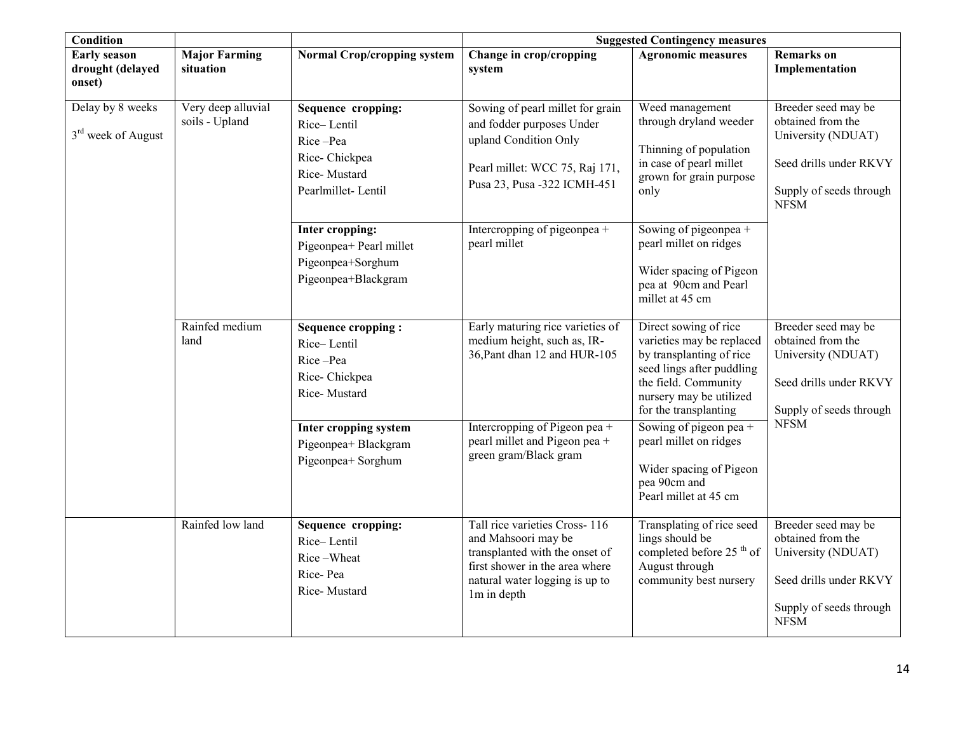| <b>Condition</b>                                   |                                      |                                                                                                      | <b>Suggested Contingency measures</b>                                                                                                                                     |                                                                                                                                                                                         |                                                                                                                                    |  |
|----------------------------------------------------|--------------------------------------|------------------------------------------------------------------------------------------------------|---------------------------------------------------------------------------------------------------------------------------------------------------------------------------|-----------------------------------------------------------------------------------------------------------------------------------------------------------------------------------------|------------------------------------------------------------------------------------------------------------------------------------|--|
| <b>Early season</b><br>drought (delayed<br>onset)  | <b>Major Farming</b><br>situation    | <b>Normal Crop/cropping system</b>                                                                   | Change in crop/cropping<br>system                                                                                                                                         | <b>Agronomic measures</b>                                                                                                                                                               | <b>Remarks</b> on<br>Implementation                                                                                                |  |
| Delay by 8 weeks<br>3 <sup>rd</sup> week of August | Very deep alluvial<br>soils - Upland | Sequence cropping:<br>Rice-Lentil<br>Rice-Pea<br>Rice-Chickpea<br>Rice-Mustard<br>Pearlmillet-Lentil | Sowing of pearl millet for grain<br>and fodder purposes Under<br>upland Condition Only<br>Pearl millet: WCC 75, Raj 171,<br>Pusa 23, Pusa -322 ICMH-451                   | Weed management<br>through dryland weeder<br>Thinning of population<br>in case of pearl millet<br>grown for grain purpose<br>only                                                       | Breeder seed may be<br>obtained from the<br>University (NDUAT)<br>Seed drills under RKVY<br>Supply of seeds through<br><b>NFSM</b> |  |
|                                                    |                                      | Inter cropping:<br>Pigeonpea+ Pearl millet<br>Pigeonpea+Sorghum<br>Pigeonpea+Blackgram               | Intercropping of pigeonpea +<br>pearl millet                                                                                                                              | Sowing of pigeonpea +<br>pearl millet on ridges<br>Wider spacing of Pigeon<br>pea at 90cm and Pearl<br>millet at 45 cm                                                                  |                                                                                                                                    |  |
|                                                    | Rainfed medium<br>land               | <b>Sequence cropping:</b><br>Rice-Lentil<br>Rice-Pea<br>Rice-Chickpea<br>Rice-Mustard                | Early maturing rice varieties of<br>medium height, such as, IR-<br>36, Pant dhan 12 and HUR-105                                                                           | Direct sowing of rice<br>varieties may be replaced<br>by transplanting of rice<br>seed lings after puddling<br>the field. Community<br>nursery may be utilized<br>for the transplanting | Breeder seed may be<br>obtained from the<br>University (NDUAT)<br>Seed drills under RKVY<br>Supply of seeds through                |  |
|                                                    |                                      | Inter cropping system<br>Pigeonpea+ Blackgram<br>Pigeonpea+ Sorghum                                  | Intercropping of Pigeon pea +<br>pearl millet and Pigeon pea +<br>green gram/Black gram                                                                                   | Sowing of pigeon pea $+$<br>pearl millet on ridges<br>Wider spacing of Pigeon<br>pea 90cm and<br>Pearl millet at 45 cm                                                                  | <b>NFSM</b>                                                                                                                        |  |
|                                                    | Rainfed low land                     | Sequence cropping:<br>Rice-Lentil<br>Rice-Wheat<br>Rice-Pea<br>Rice-Mustard                          | Tall rice varieties Cross-116<br>and Mahsoori may be<br>transplanted with the onset of<br>first shower in the area where<br>natural water logging is up to<br>1m in depth | Transplating of rice seed<br>lings should be<br>completed before 25 <sup>th</sup> of<br>August through<br>community best nursery                                                        | Breeder seed may be<br>obtained from the<br>University (NDUAT)<br>Seed drills under RKVY<br>Supply of seeds through<br><b>NFSM</b> |  |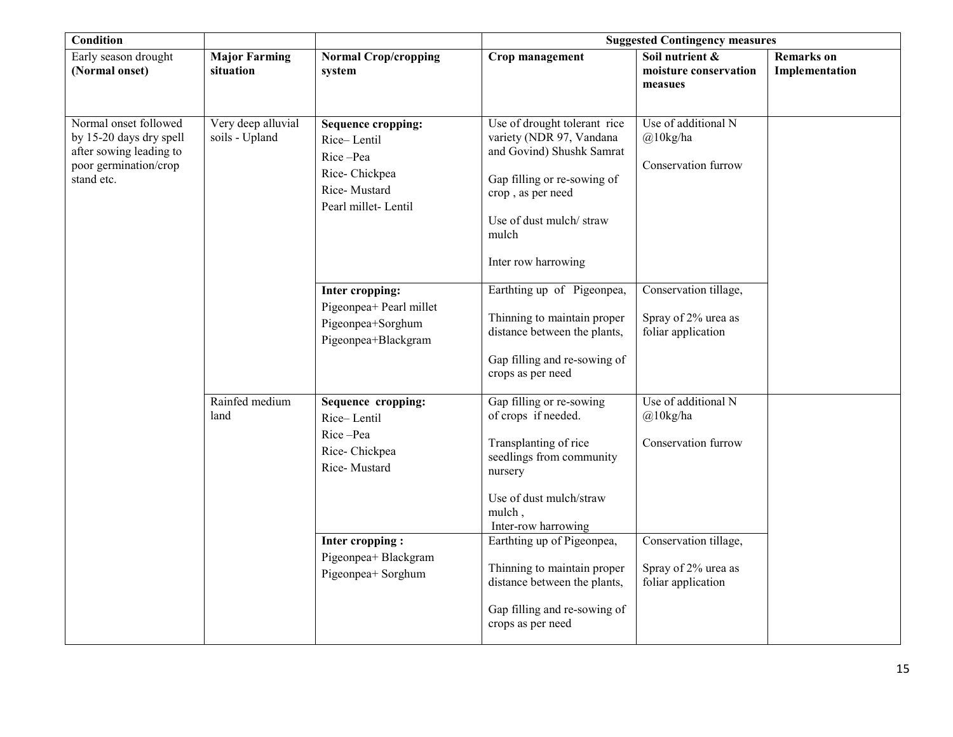| <b>Condition</b>                                                                                                   |                                      |                                                                                                                                                        | <b>Suggested Contingency measures</b>                                                                                                                                                                                                                                                                                         |                                                                                                                                 |                                     |
|--------------------------------------------------------------------------------------------------------------------|--------------------------------------|--------------------------------------------------------------------------------------------------------------------------------------------------------|-------------------------------------------------------------------------------------------------------------------------------------------------------------------------------------------------------------------------------------------------------------------------------------------------------------------------------|---------------------------------------------------------------------------------------------------------------------------------|-------------------------------------|
| Early season drought<br>(Normal onset)                                                                             | <b>Major Farming</b><br>situation    | <b>Normal Crop/cropping</b><br>system                                                                                                                  | Crop management                                                                                                                                                                                                                                                                                                               | Soil nutrient &<br>moisture conservation<br>measues                                                                             | <b>Remarks</b> on<br>Implementation |
| Normal onset followed<br>by 15-20 days dry spell<br>after sowing leading to<br>poor germination/crop<br>stand etc. | Very deep alluvial<br>soils - Upland | <b>Sequence cropping:</b><br>Rice-Lentil<br>Rice-Pea<br>Rice-Chickpea<br>Rice-Mustard<br>Pearl millet-Lentil                                           | Use of drought tolerant rice<br>variety (NDR 97, Vandana<br>and Govind) Shushk Samrat<br>Gap filling or re-sowing of<br>crop, as per need<br>Use of dust mulch/straw<br>mulch<br>Inter row harrowing                                                                                                                          | Use of additional N<br>$@10$ kg/ha<br>Conservation furrow                                                                       |                                     |
|                                                                                                                    |                                      | Inter cropping:<br>Pigeonpea+ Pearl millet<br>Pigeonpea+Sorghum<br>Pigeonpea+Blackgram                                                                 | Earthting up of Pigeonpea,<br>Thinning to maintain proper<br>distance between the plants,<br>Gap filling and re-sowing of<br>crops as per need                                                                                                                                                                                | Conservation tillage,<br>Spray of 2% urea as<br>foliar application                                                              |                                     |
|                                                                                                                    | Rainfed medium<br>land               | Sequence cropping:<br>Rice-Lentil<br>Rice-Pea<br>Rice-Chickpea<br>Rice-Mustard<br><b>Inter cropping:</b><br>Pigeonpea+ Blackgram<br>Pigeonpea+ Sorghum | Gap filling or re-sowing<br>of crops if needed.<br>Transplanting of rice<br>seedlings from community<br>nursery<br>Use of dust mulch/straw<br>mulch,<br>Inter-row harrowing<br>Earthting up of Pigeonpea,<br>Thinning to maintain proper<br>distance between the plants,<br>Gap filling and re-sowing of<br>crops as per need | Use of additional N<br>$@10$ kg/ha<br>Conservation furrow<br>Conservation tillage,<br>Spray of 2% urea as<br>foliar application |                                     |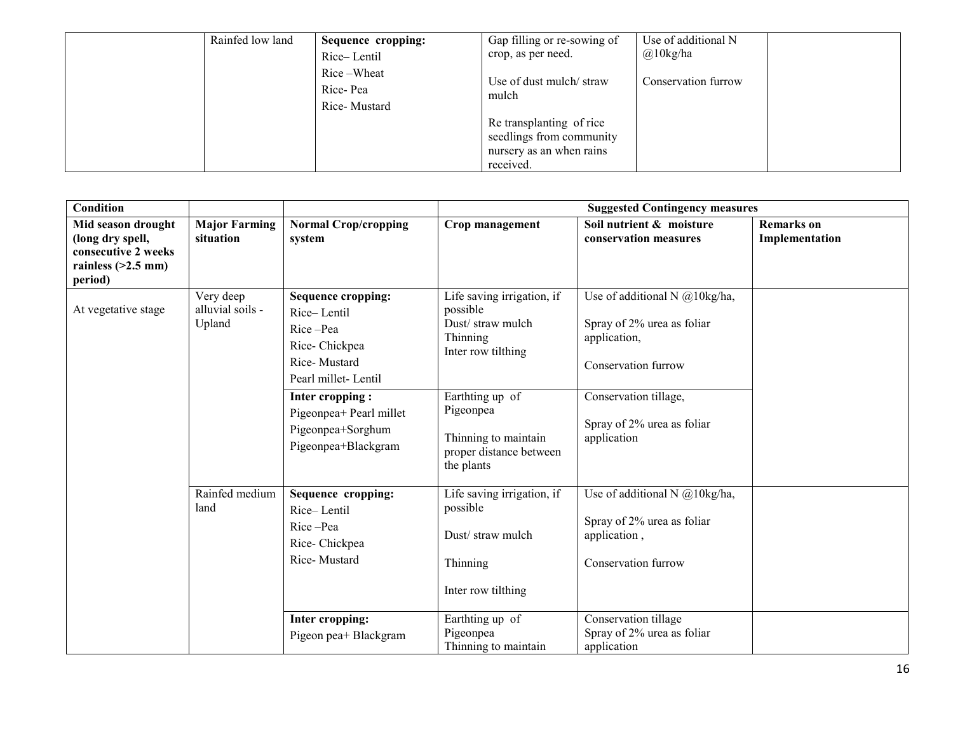| Rainfed low land | Sequence cropping:<br>Rice-Lentil      | Gap filling or re-sowing of<br>crop, as per need.                                             | Use of additional N<br>$@10$ kg/ha |
|------------------|----------------------------------------|-----------------------------------------------------------------------------------------------|------------------------------------|
|                  | Rice-Wheat<br>Rice-Pea<br>Rice-Mustard | Use of dust mulch/straw<br>mulch                                                              | Conservation furrow                |
|                  |                                        | Re transplanting of rice<br>seedlings from community<br>nursery as an when rains<br>received. |                                    |

| <b>Condition</b>                                                                                 |                                         |                                                                                                       | <b>Suggested Contingency measures</b>                                                         |                                                                                                       |                                     |  |
|--------------------------------------------------------------------------------------------------|-----------------------------------------|-------------------------------------------------------------------------------------------------------|-----------------------------------------------------------------------------------------------|-------------------------------------------------------------------------------------------------------|-------------------------------------|--|
| Mid season drought<br>(long dry spell,<br>consecutive 2 weeks<br>rainless $(>2.5$ mm)<br>period) | <b>Major Farming</b><br>situation       | <b>Normal Crop/cropping</b><br>system                                                                 | Crop management                                                                               | Soil nutrient & moisture<br>conservation measures                                                     | <b>Remarks</b> on<br>Implementation |  |
| At vegetative stage                                                                              | Very deep<br>alluvial soils -<br>Upland | Sequence cropping:<br>Rice-Lentil<br>Rice-Pea<br>Rice-Chickpea<br>Rice-Mustard<br>Pearl millet-Lentil | Life saving irrigation, if<br>possible<br>Dust/straw mulch<br>Thinning<br>Inter row tilthing  | Use of additional N $@10$ kg/ha,<br>Spray of 2% urea as foliar<br>application,<br>Conservation furrow |                                     |  |
|                                                                                                  |                                         | Inter cropping:<br>Pigeonpea+ Pearl millet<br>Pigeonpea+Sorghum<br>Pigeonpea+Blackgram                | Earthting up of<br>Pigeonpea<br>Thinning to maintain<br>proper distance between<br>the plants | Conservation tillage,<br>Spray of 2% urea as foliar<br>application                                    |                                     |  |
|                                                                                                  | Rainfed medium<br>land                  | Sequence cropping:<br>Rice-Lentil<br>Rice-Pea<br>Rice-Chickpea<br>Rice-Mustard                        | Life saving irrigation, if<br>possible<br>Dust/straw mulch<br>Thinning<br>Inter row tilthing  | Use of additional N $@10$ kg/ha,<br>Spray of 2% urea as foliar<br>application,<br>Conservation furrow |                                     |  |
|                                                                                                  |                                         | Inter cropping:<br>Pigeon pea+ Blackgram                                                              | Earthting up of<br>Pigeonpea<br>Thinning to maintain                                          | Conservation tillage<br>Spray of 2% urea as foliar<br>application                                     |                                     |  |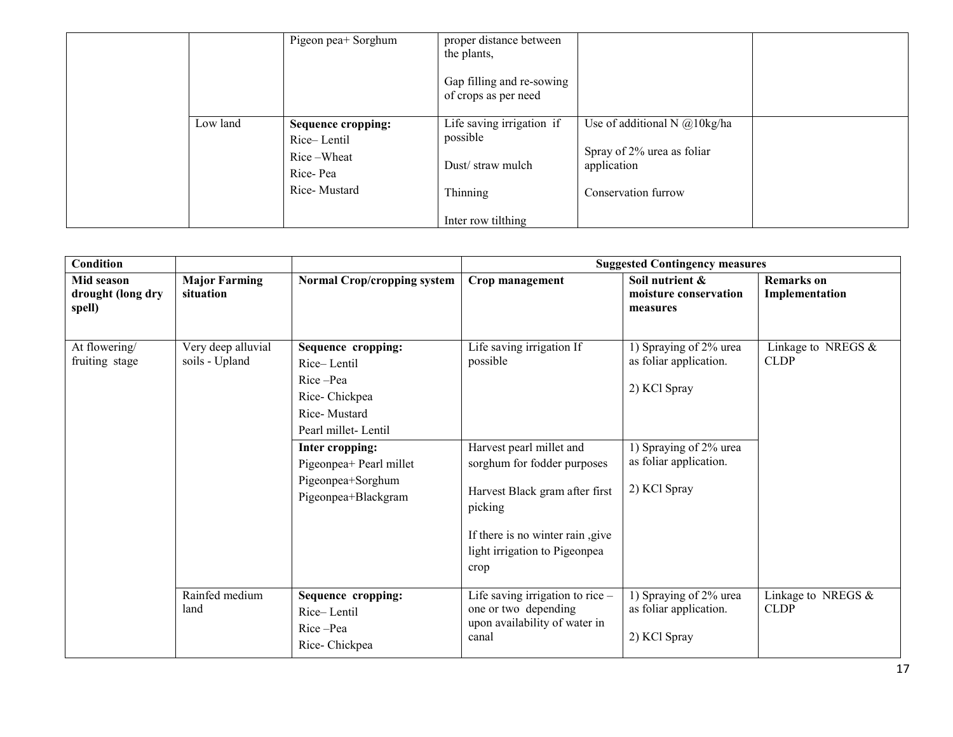|          | Pigeon pea+ Sorghum                                                                | proper distance between<br>the plants,<br>Gap filling and re-sowing<br>of crops as per need |                                                                                                     |  |
|----------|------------------------------------------------------------------------------------|---------------------------------------------------------------------------------------------|-----------------------------------------------------------------------------------------------------|--|
| Low land | <b>Sequence cropping:</b><br>Rice-Lentil<br>Rice-Wheat<br>Rice-Pea<br>Rice-Mustard | Life saving irrigation if<br>possible<br>Dust/straw mulch<br>Thinning                       | Use of additional N $@10$ kg/ha<br>Spray of 2% urea as foliar<br>application<br>Conservation furrow |  |
|          |                                                                                    | Inter row tilthing                                                                          |                                                                                                     |  |

| Condition                                 |                                      |                                                                                                                                                                                                 | <b>Suggested Contingency measures</b>                                                                                                                                                                                      |                                                                                                                                      |                                      |  |
|-------------------------------------------|--------------------------------------|-------------------------------------------------------------------------------------------------------------------------------------------------------------------------------------------------|----------------------------------------------------------------------------------------------------------------------------------------------------------------------------------------------------------------------------|--------------------------------------------------------------------------------------------------------------------------------------|--------------------------------------|--|
| Mid season<br>drought (long dry<br>spell) | <b>Major Farming</b><br>situation    | <b>Normal Crop/cropping system</b>                                                                                                                                                              | Crop management                                                                                                                                                                                                            | Soil nutrient &<br>moisture conservation<br>measures                                                                                 | <b>Remarks</b> on<br>Implementation  |  |
| At flowering/<br>fruiting stage           | Very deep alluvial<br>soils - Upland | Sequence cropping:<br>Rice-Lentil<br>Rice-Pea<br>Rice-Chickpea<br>Rice-Mustard<br>Pearl millet-Lentil<br>Inter cropping:<br>Pigeonpea+ Pearl millet<br>Pigeonpea+Sorghum<br>Pigeonpea+Blackgram | Life saving irrigation If<br>possible<br>Harvest pearl millet and<br>sorghum for fodder purposes<br>Harvest Black gram after first<br>picking<br>If there is no winter rain, give<br>light irrigation to Pigeonpea<br>crop | 1) Spraying of 2% urea<br>as foliar application.<br>2) KCl Spray<br>1) Spraying of 2% urea<br>as foliar application.<br>2) KCl Spray | Linkage to NREGS $\&$<br><b>CLDP</b> |  |
|                                           | Rainfed medium<br>land               | Sequence cropping:<br>Rice-Lentil<br>Rice-Pea<br>Rice-Chickpea                                                                                                                                  | Life saving irrigation to rice -<br>one or two depending<br>upon availability of water in<br>canal                                                                                                                         | 1) Spraying of 2% urea<br>as foliar application.<br>2) KCl Spray                                                                     | Linkage to NREGS $&$<br><b>CLDP</b>  |  |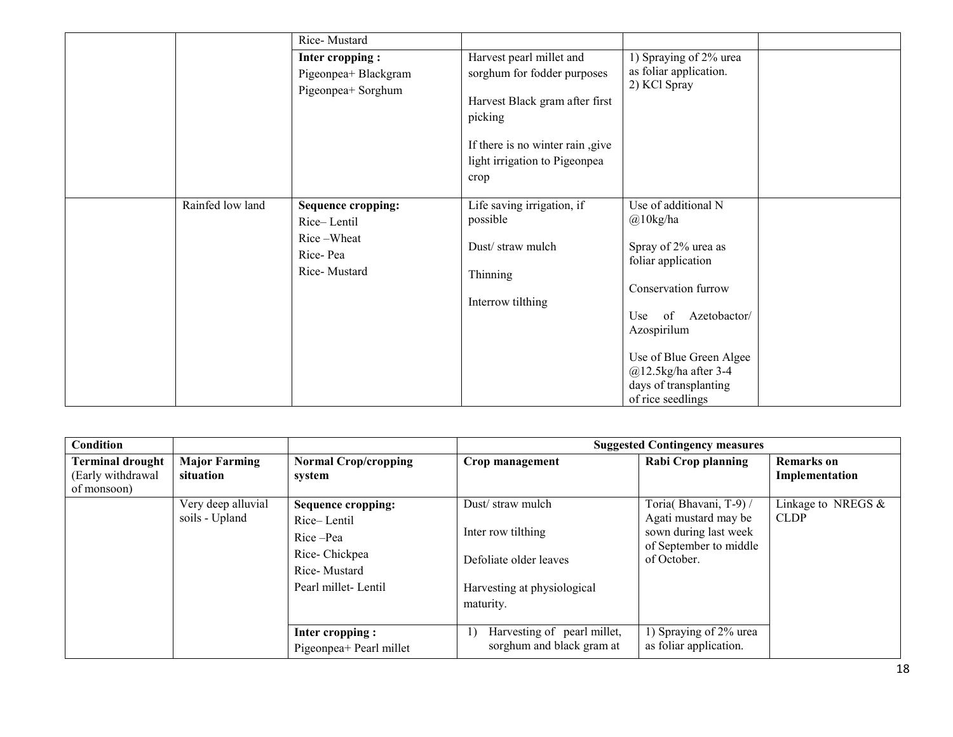|                  | Rice-Mustard                                                                       |                                                                                                                                                                                   |                                                                                                                                                                                                                                                        |  |
|------------------|------------------------------------------------------------------------------------|-----------------------------------------------------------------------------------------------------------------------------------------------------------------------------------|--------------------------------------------------------------------------------------------------------------------------------------------------------------------------------------------------------------------------------------------------------|--|
|                  | <b>Inter cropping:</b><br>Pigeonpea+ Blackgram<br>Pigeonpea+ Sorghum               | Harvest pearl millet and<br>sorghum for fodder purposes<br>Harvest Black gram after first<br>picking<br>If there is no winter rain, give<br>light irrigation to Pigeonpea<br>crop | 1) Spraying of 2% urea<br>as foliar application.<br>2) KCl Spray                                                                                                                                                                                       |  |
| Rainfed low land | <b>Sequence cropping:</b><br>Rice-Lentil<br>Rice-Wheat<br>Rice-Pea<br>Rice-Mustard | Life saving irrigation, if<br>possible<br>Dust/straw mulch<br>Thinning<br>Interrow tilthing                                                                                       | Use of additional N<br>$@10$ kg/ha<br>Spray of 2% urea as<br>foliar application<br>Conservation furrow<br>of<br>Azetobactor/<br>Use<br>Azospirilum<br>Use of Blue Green Algee<br>$@12.5$ kg/ha after 3-4<br>days of transplanting<br>of rice seedlings |  |

| <b>Condition</b>                                            |                                      |                                                                                                              |                                                                                                              | <b>Suggested Contingency measures</b>                                                                           |                                     |
|-------------------------------------------------------------|--------------------------------------|--------------------------------------------------------------------------------------------------------------|--------------------------------------------------------------------------------------------------------------|-----------------------------------------------------------------------------------------------------------------|-------------------------------------|
| <b>Terminal drought</b><br>(Early withdrawal<br>of monsoon) | <b>Major Farming</b><br>situation    | <b>Normal Crop/cropping</b><br>system                                                                        | Crop management                                                                                              | Rabi Crop planning                                                                                              | <b>Remarks</b> on<br>Implementation |
|                                                             | Very deep alluvial<br>soils - Upland | <b>Sequence cropping:</b><br>Rice-Lentil<br>Rice-Pea<br>Rice-Chickpea<br>Rice-Mustard<br>Pearl millet-Lentil | Dust/straw mulch<br>Inter row tilthing<br>Defoliate older leaves<br>Harvesting at physiological<br>maturity. | Toria(Bhavani, T-9) /<br>Agati mustard may be<br>sown during last week<br>of September to middle<br>of October. | Linkage to NREGS &<br><b>CLDP</b>   |
|                                                             |                                      | Inter cropping:<br>Pigeonpea+ Pearl millet                                                                   | Harvesting of pearl millet,<br>1)<br>sorghum and black gram at                                               | 1) Spraying of 2% urea<br>as foliar application.                                                                |                                     |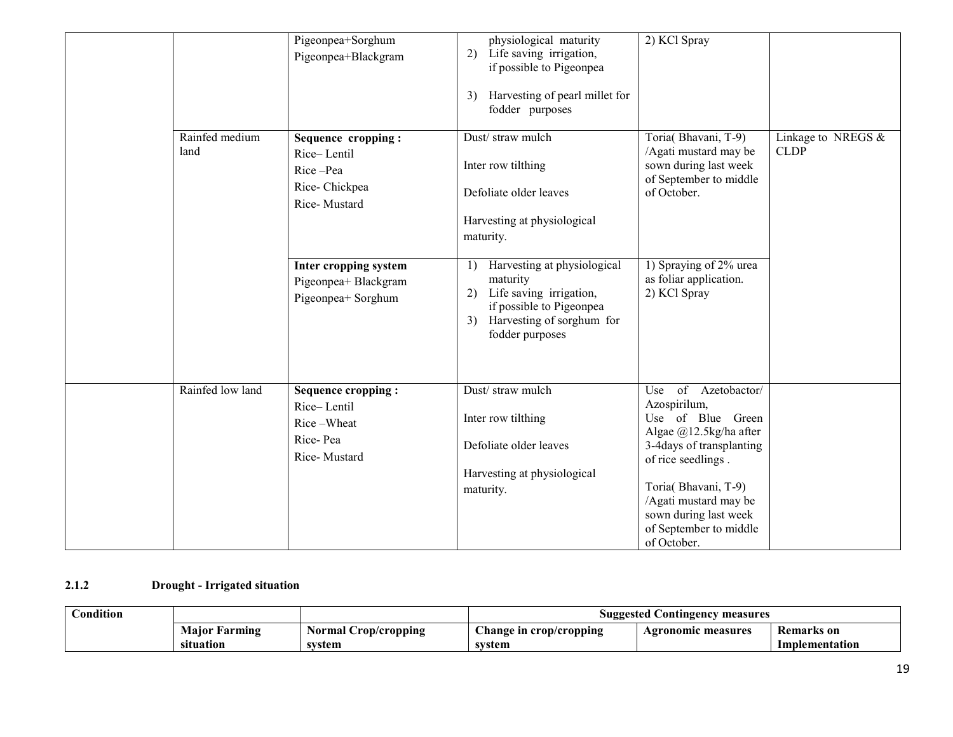|                        | Pigeonpea+Sorghum<br>Pigeonpea+Blackgram                                           | physiological maturity<br>Life saving irrigation,<br>2)<br>if possible to Pigeonpea<br>Harvesting of pearl millet for<br>3)<br>fodder purposes                                          | 2) KCl Spray                                                                                                                                                                                                                                                 |                                     |
|------------------------|------------------------------------------------------------------------------------|-----------------------------------------------------------------------------------------------------------------------------------------------------------------------------------------|--------------------------------------------------------------------------------------------------------------------------------------------------------------------------------------------------------------------------------------------------------------|-------------------------------------|
| Rainfed medium<br>land | Sequence cropping:<br>Rice-Lentil<br>Rice-Pea<br>Rice-Chickpea<br>Rice-Mustard     | Dust/straw mulch<br>Inter row tilthing<br>Defoliate older leaves<br>Harvesting at physiological<br>maturity.                                                                            | Toria(Bhavani, T-9)<br>/Agati mustard may be<br>sown during last week<br>of September to middle<br>of October.                                                                                                                                               | Linkage to NREGS $&$<br><b>CLDP</b> |
|                        | Inter cropping system<br>Pigeonpea+ Blackgram<br>Pigeonpea+ Sorghum                | Harvesting at physiological<br>$\left( \frac{1}{2} \right)$<br>maturity<br>2) Life saving irrigation,<br>if possible to Pigeonpea<br>Harvesting of sorghum for<br>3)<br>fodder purposes | 1) Spraying of 2% urea<br>as foliar application.<br>2) KCl Spray                                                                                                                                                                                             |                                     |
| Rainfed low land       | <b>Sequence cropping:</b><br>Rice-Lentil<br>Rice-Wheat<br>Rice-Pea<br>Rice-Mustard | Dust/straw mulch<br>Inter row tilthing<br>Defoliate older leaves<br>Harvesting at physiological<br>maturity.                                                                            | of<br>Use<br>Azetobactor/<br>Azospirilum,<br>Use of Blue Green<br>Algae @12.5kg/ha after<br>3-4days of transplanting<br>of rice seedlings.<br>Toria(Bhavani, T-9)<br>/Agati mustard may be<br>sown during last week<br>of September to middle<br>of October. |                                     |

#### 2.1.2Drought - Irrigated situation

| ondition!<br>$\sim$ |                  |                           | Suggested<br>. Contingency<br>measures |                           |                |  |
|---------------------|------------------|---------------------------|----------------------------------------|---------------------------|----------------|--|
|                     | Maior<br>Farming | Normal<br>r Crop/cropping | Change in crop/cropping                | <b>Agronomic measures</b> | Remarks on     |  |
|                     | situation        | system                    | system                                 |                           | Implementation |  |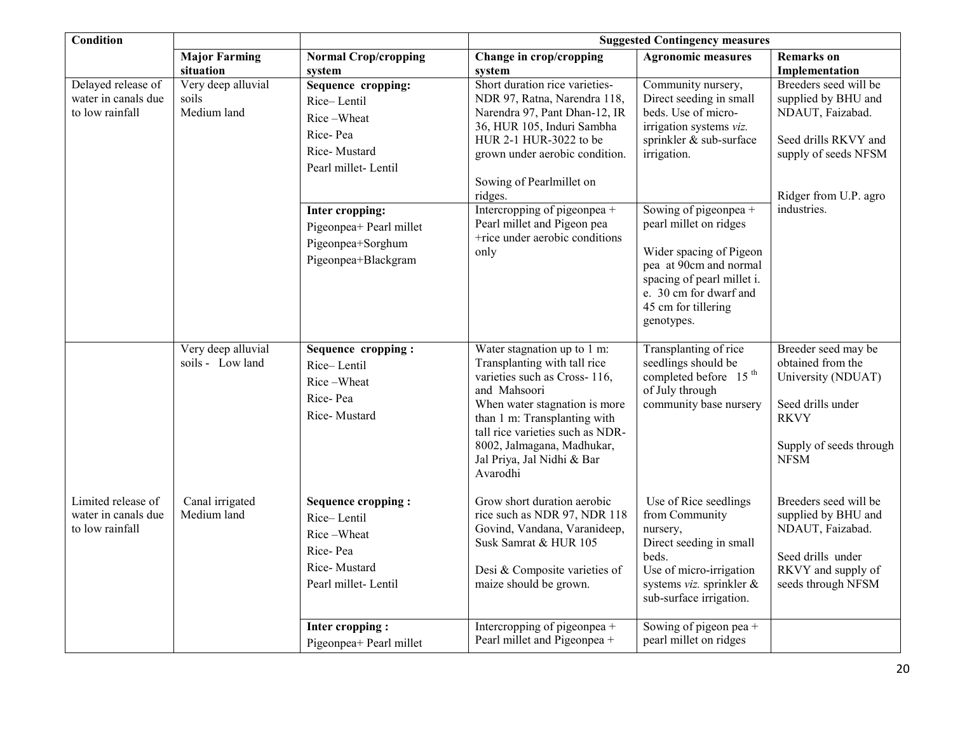| <b>Condition</b>                                             |                                            | <b>Suggested Contingency measures</b>                                                                     |                                                                                                                                                                                                                                                                                          |                                                                                                                                                                                                   |                                                                                                                                              |
|--------------------------------------------------------------|--------------------------------------------|-----------------------------------------------------------------------------------------------------------|------------------------------------------------------------------------------------------------------------------------------------------------------------------------------------------------------------------------------------------------------------------------------------------|---------------------------------------------------------------------------------------------------------------------------------------------------------------------------------------------------|----------------------------------------------------------------------------------------------------------------------------------------------|
|                                                              | <b>Major Farming</b><br>situation          | <b>Normal Crop/cropping</b><br>system                                                                     | Change in crop/cropping<br>system                                                                                                                                                                                                                                                        | <b>Agronomic measures</b>                                                                                                                                                                         | <b>Remarks</b> on<br>Implementation                                                                                                          |
| Delayed release of<br>water in canals due<br>to low rainfall | Very deep alluvial<br>soils<br>Medium land | Sequence cropping:<br>Rice-Lentil<br>Rice-Wheat<br>Rice-Pea<br>Rice-Mustard<br>Pearl millet-Lentil        | Short duration rice varieties-<br>NDR 97, Ratna, Narendra 118,<br>Narendra 97, Pant Dhan-12, IR<br>36, HUR 105, Induri Sambha<br>HUR 2-1 HUR-3022 to be<br>grown under aerobic condition.<br>Sowing of Pearlmillet on<br>ridges.                                                         | Community nursery,<br>Direct seeding in small<br>beds. Use of micro-<br>irrigation systems viz.<br>sprinkler & sub-surface<br>irrigation.                                                         | Breeders seed will be<br>supplied by BHU and<br>NDAUT, Faizabad.<br>Seed drills RKVY and<br>supply of seeds NFSM<br>Ridger from U.P. agro    |
|                                                              |                                            | Inter cropping:<br>Pigeonpea+ Pearl millet<br>Pigeonpea+Sorghum<br>Pigeonpea+Blackgram                    | Intercropping of pigeonpea +<br>Pearl millet and Pigeon pea<br>+rice under aerobic conditions<br>only                                                                                                                                                                                    | Sowing of pigeonpea +<br>pearl millet on ridges<br>Wider spacing of Pigeon<br>pea at 90cm and normal<br>spacing of pearl millet i.<br>e. 30 cm for dwarf and<br>45 cm for tillering<br>genotypes. | industries.                                                                                                                                  |
|                                                              | Very deep alluvial<br>soils - Low land     | Sequence cropping:<br>Rice-Lentil<br>Rice-Wheat<br>Rice-Pea<br>Rice-Mustard                               | Water stagnation up to 1 m:<br>Transplanting with tall rice<br>varieties such as Cross-116,<br>and Mahsoori<br>When water stagnation is more<br>than 1 m: Transplanting with<br>tall rice varieties such as NDR-<br>8002, Jalmagana, Madhukar,<br>Jal Priya, Jal Nidhi & Bar<br>Avarodhi | Transplanting of rice<br>seedlings should be<br>completed before 15 <sup>th</sup><br>of July through<br>community base nursery                                                                    | Breeder seed may be<br>obtained from the<br>University (NDUAT)<br>Seed drills under<br><b>RKVY</b><br>Supply of seeds through<br><b>NFSM</b> |
| Limited release of<br>water in canals due<br>to low rainfall | Canal irrigated<br>Medium land             | <b>Sequence cropping:</b><br>Rice-Lentil<br>Rice-Wheat<br>Rice-Pea<br>Rice-Mustard<br>Pearl millet-Lentil | Grow short duration aerobic<br>rice such as NDR 97, NDR 118<br>Govind, Vandana, Varanideep,<br>Susk Samrat & HUR 105<br>Desi & Composite varieties of<br>maize should be grown.                                                                                                          | Use of Rice seedlings<br>from Community<br>nursery,<br>Direct seeding in small<br>beds.<br>Use of micro-irrigation<br>systems viz. sprinkler &<br>sub-surface irrigation.                         | Breeders seed will be<br>supplied by BHU and<br>NDAUT, Faizabad.<br>Seed drills under<br>RKVY and supply of<br>seeds through NFSM            |
|                                                              |                                            | Inter cropping:<br>Pigeonpea+ Pearl millet                                                                | Intercropping of pigeonpea +<br>Pearl millet and Pigeonpea +                                                                                                                                                                                                                             | Sowing of pigeon pea $+$<br>pearl millet on ridges                                                                                                                                                |                                                                                                                                              |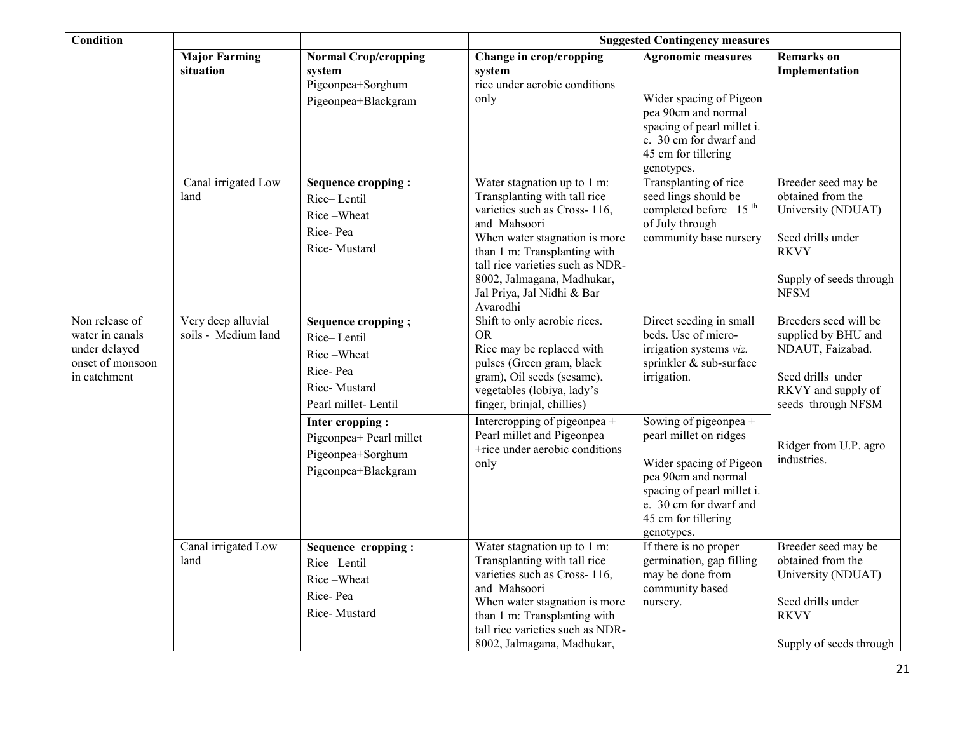| <b>Condition</b>                                                                       |                                           |                                                                                                    | <b>Suggested Contingency measures</b>                                                                                                                                                                                                                                                    |                                                                                                                                                                                                |                                                                                                                                              |  |
|----------------------------------------------------------------------------------------|-------------------------------------------|----------------------------------------------------------------------------------------------------|------------------------------------------------------------------------------------------------------------------------------------------------------------------------------------------------------------------------------------------------------------------------------------------|------------------------------------------------------------------------------------------------------------------------------------------------------------------------------------------------|----------------------------------------------------------------------------------------------------------------------------------------------|--|
|                                                                                        | <b>Major Farming</b><br>situation         | <b>Normal Crop/cropping</b><br>system                                                              | Change in crop/cropping<br>system                                                                                                                                                                                                                                                        | <b>Agronomic measures</b>                                                                                                                                                                      | <b>Remarks</b> on<br>Implementation                                                                                                          |  |
|                                                                                        |                                           | Pigeonpea+Sorghum<br>Pigeonpea+Blackgram                                                           | rice under aerobic conditions<br>only                                                                                                                                                                                                                                                    | Wider spacing of Pigeon<br>pea 90cm and normal<br>spacing of pearl millet i.<br>e. 30 cm for dwarf and<br>45 cm for tillering<br>genotypes.                                                    |                                                                                                                                              |  |
|                                                                                        | Canal irrigated Low<br>land               | Sequence cropping:<br>Rice-Lentil<br>Rice-Wheat<br>Rice-Pea<br>Rice-Mustard                        | Water stagnation up to 1 m:<br>Transplanting with tall rice<br>varieties such as Cross-116,<br>and Mahsoori<br>When water stagnation is more<br>than 1 m: Transplanting with<br>tall rice varieties such as NDR-<br>8002, Jalmagana, Madhukar,<br>Jal Priya, Jal Nidhi & Bar<br>Avarodhi | Transplanting of rice<br>seed lings should be<br>completed before 15 <sup>th</sup><br>of July through<br>community base nursery                                                                | Breeder seed may be<br>obtained from the<br>University (NDUAT)<br>Seed drills under<br><b>RKVY</b><br>Supply of seeds through<br><b>NFSM</b> |  |
| Non release of<br>water in canals<br>under delayed<br>onset of monsoon<br>in catchment | Very deep alluvial<br>soils - Medium land | Sequence cropping;<br>Rice-Lentil<br>Rice-Wheat<br>Rice-Pea<br>Rice-Mustard<br>Pearl millet-Lentil | Shift to only aerobic rices.<br><b>OR</b><br>Rice may be replaced with<br>pulses (Green gram, black<br>gram), Oil seeds (sesame),<br>vegetables (lobiya, lady's<br>finger, brinjal, chillies)                                                                                            | Direct seeding in small<br>beds. Use of micro-<br>irrigation systems viz.<br>sprinkler & sub-surface<br>irrigation.                                                                            | Breeders seed will be<br>supplied by BHU and<br>NDAUT, Faizabad.<br>Seed drills under<br>RKVY and supply of<br>seeds through NFSM            |  |
|                                                                                        |                                           | Inter cropping:<br>Pigeonpea+ Pearl millet<br>Pigeonpea+Sorghum<br>Pigeonpea+Blackgram             | Intercropping of pigeonpea +<br>Pearl millet and Pigeonpea<br>+rice under aerobic conditions<br>only                                                                                                                                                                                     | Sowing of pigeonpea +<br>pearl millet on ridges<br>Wider spacing of Pigeon<br>pea 90cm and normal<br>spacing of pearl millet i.<br>e. 30 cm for dwarf and<br>45 cm for tillering<br>genotypes. | Ridger from U.P. agro<br>industries.                                                                                                         |  |
|                                                                                        | Canal irrigated Low<br>land               | Sequence cropping:<br>Rice-Lentil<br>Rice-Wheat<br>Rice-Pea<br>Rice-Mustard                        | Water stagnation up to 1 m:<br>Transplanting with tall rice<br>varieties such as Cross-116,<br>and Mahsoori<br>When water stagnation is more<br>than 1 m: Transplanting with<br>tall rice varieties such as NDR-<br>8002, Jalmagana, Madhukar,                                           | If there is no proper<br>germination, gap filling<br>may be done from<br>community based<br>nursery.                                                                                           | Breeder seed may be<br>obtained from the<br>University (NDUAT)<br>Seed drills under<br><b>RKVY</b><br>Supply of seeds through                |  |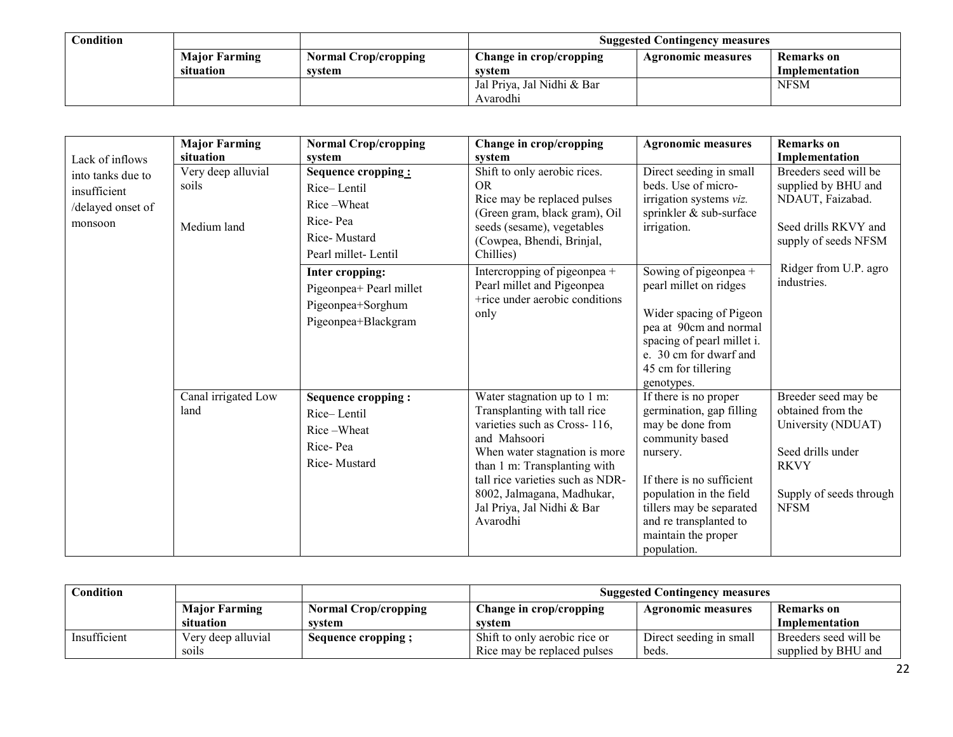| Condition |                      |                      | <b>Suggested Contingency measures</b> |                    |                |  |
|-----------|----------------------|----------------------|---------------------------------------|--------------------|----------------|--|
|           | <b>Major Farming</b> | Normal Crop/cropping | Change in crop/cropping               | Agronomic measures | Remarks on     |  |
|           | situation            | svstem               | system                                |                    | Implementation |  |
|           |                      |                      | Jal Priya, Jal Nidhi & Bar            |                    | <b>NFSM</b>    |  |
|           |                      |                      | Avarodhi                              |                    |                |  |

|                                                                   | <b>Major Farming</b>                       | <b>Normal Crop/cropping</b>                                                                                                                                                                  | Change in crop/cropping                                                                                                                                                                                                                                                                   | <b>Agronomic measures</b>                                                                                                                                                                                                                                                                                                | <b>Remarks</b> on                                                                                                                                        |
|-------------------------------------------------------------------|--------------------------------------------|----------------------------------------------------------------------------------------------------------------------------------------------------------------------------------------------|-------------------------------------------------------------------------------------------------------------------------------------------------------------------------------------------------------------------------------------------------------------------------------------------|--------------------------------------------------------------------------------------------------------------------------------------------------------------------------------------------------------------------------------------------------------------------------------------------------------------------------|----------------------------------------------------------------------------------------------------------------------------------------------------------|
| Lack of inflows                                                   | situation                                  | system                                                                                                                                                                                       | system                                                                                                                                                                                                                                                                                    |                                                                                                                                                                                                                                                                                                                          | Implementation                                                                                                                                           |
| into tanks due to<br>insufficient<br>/delayed onset of<br>monsoon | Very deep alluvial<br>soils<br>Medium land | Sequence cropping:<br>Rice-Lentil<br>Rice-Wheat<br>Rice-Pea<br>Rice-Mustard<br>Pearl millet-Lentil<br>Inter cropping:<br>Pigeonpea+ Pearl millet<br>Pigeonpea+Sorghum<br>Pigeonpea+Blackgram | Shift to only aerobic rices.<br><b>OR</b><br>Rice may be replaced pulses<br>(Green gram, black gram), Oil<br>seeds (sesame), vegetables<br>(Cowpea, Bhendi, Brinjal,<br>Chillies)<br>Intercropping of pigeonpea +<br>Pearl millet and Pigeonpea<br>+rice under aerobic conditions<br>only | Direct seeding in small<br>beds. Use of micro-<br>irrigation systems viz.<br>sprinkler & sub-surface<br>irrigation.<br>Sowing of pigeonpea +<br>pearl millet on ridges<br>Wider spacing of Pigeon<br>pea at 90cm and normal<br>spacing of pearl millet i.<br>e. 30 cm for dwarf and<br>45 cm for tillering<br>genotypes. | Breeders seed will be<br>supplied by BHU and<br>NDAUT, Faizabad.<br>Seed drills RKVY and<br>supply of seeds NFSM<br>Ridger from U.P. agro<br>industries. |
|                                                                   | Canal irrigated Low<br>land                | Sequence cropping:<br>Rice-Lentil<br>Rice-Wheat<br>Rice-Pea<br>Rice-Mustard                                                                                                                  | Water stagnation up to 1 m:<br>Transplanting with tall rice<br>varieties such as Cross-116,<br>and Mahsoori<br>When water stagnation is more<br>than 1 m: Transplanting with<br>tall rice varieties such as NDR-<br>8002, Jalmagana, Madhukar,<br>Jal Priya, Jal Nidhi & Bar<br>Avarodhi  | If there is no proper<br>germination, gap filling<br>may be done from<br>community based<br>nursery.<br>If there is no sufficient<br>population in the field<br>tillers may be separated<br>and re transplanted to<br>maintain the proper<br>population.                                                                 | Breeder seed may be<br>obtained from the<br>University (NDUAT)<br>Seed drills under<br><b>RKVY</b><br>Supply of seeds through<br><b>NFSM</b>             |

| $\complement$ ondition $\char`$ |                      |                             | <b>Suggested Contingency measures</b> |                         |                       |
|---------------------------------|----------------------|-----------------------------|---------------------------------------|-------------------------|-----------------------|
|                                 | <b>Major Farming</b> | <b>Normal Crop/cropping</b> | Change in crop/cropping               | Agronomic measures      | Remarks on            |
|                                 | situation            | system                      | system                                |                         | Implementation        |
| Insufficient                    | Very deep alluvial   | Sequence cropping;          | Shift to only aerobic rice or         | Direct seeding in small | Breeders seed will be |
|                                 | soils                |                             | Rice may be replaced pulses           | beds.                   | supplied by BHU and   |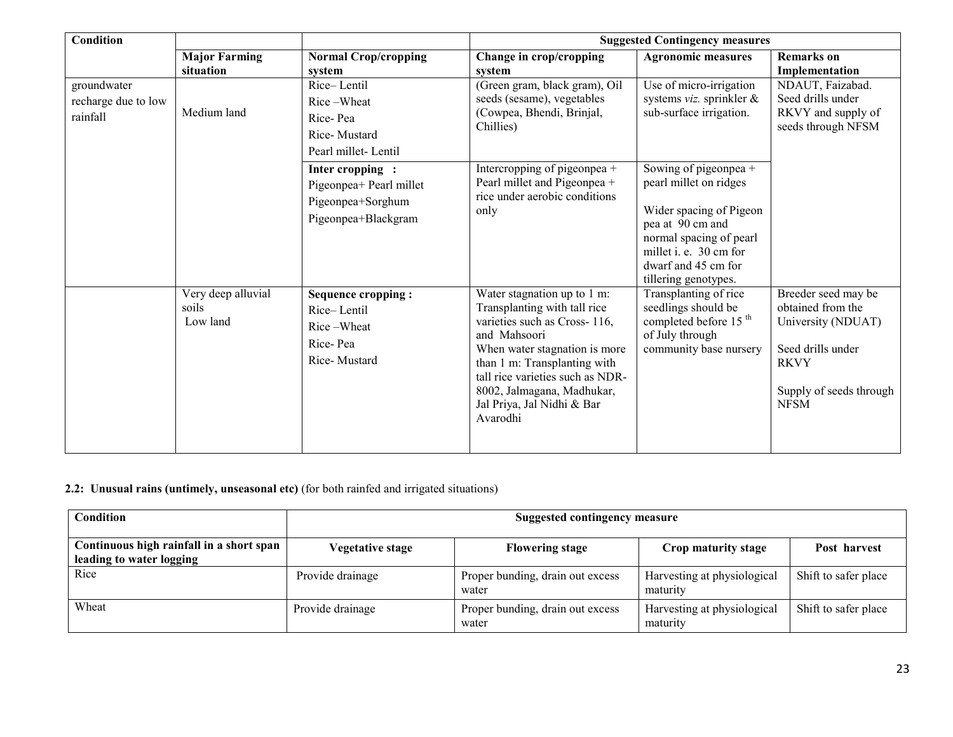| <b>Condition</b>                               |                                         |                                                                                        | <b>Suggested Contingency measures</b>                                                                                                                                                                                                                                                    |                                                                                                                                                                                                    |                                                                                                                                              |  |
|------------------------------------------------|-----------------------------------------|----------------------------------------------------------------------------------------|------------------------------------------------------------------------------------------------------------------------------------------------------------------------------------------------------------------------------------------------------------------------------------------|----------------------------------------------------------------------------------------------------------------------------------------------------------------------------------------------------|----------------------------------------------------------------------------------------------------------------------------------------------|--|
|                                                | <b>Major Farming</b><br>situation       | <b>Normal Crop/cropping</b><br>system                                                  | Change in crop/cropping<br>system                                                                                                                                                                                                                                                        | <b>Agronomic measures</b>                                                                                                                                                                          | <b>Remarks</b> on<br>Implementation                                                                                                          |  |
| groundwater<br>recharge due to low<br>rainfall | Medium land                             | Rice-Lentil<br>Rice-Wheat<br>Rice-Pea<br>Rice-Mustard<br>Pearl millet-Lentil           | (Green gram, black gram), Oil<br>seeds (sesame), vegetables<br>(Cowpea, Bhendi, Brinjal,<br>Chillies)                                                                                                                                                                                    | Use of micro-irrigation<br>systems viz. sprinkler &<br>sub-surface irrigation.                                                                                                                     | NDAUT, Faizabad.<br>Seed drills under<br>RKVY and supply of<br>seeds through NFSM                                                            |  |
|                                                |                                         | Inter cropping:<br>Pigeonpea+ Pearl millet<br>Pigeonpea+Sorghum<br>Pigeonpea+Blackgram | Intercropping of pigeonpea +<br>Pearl millet and Pigeonpea +<br>rice under aerobic conditions<br>only                                                                                                                                                                                    | Sowing of pigeonpea +<br>pearl millet on ridges<br>Wider spacing of Pigeon<br>pea at 90 cm and<br>normal spacing of pearl<br>millet i. e. 30 cm for<br>dwarf and 45 cm for<br>tillering genotypes. |                                                                                                                                              |  |
|                                                | Very deep alluvial<br>soils<br>Low land | Sequence cropping:<br>Rice-Lentil<br>Rice-Wheat<br>Rice-Pea<br>Rice-Mustard            | Water stagnation up to 1 m:<br>Transplanting with tall rice<br>varieties such as Cross-116,<br>and Mahsoori<br>When water stagnation is more<br>than 1 m: Transplanting with<br>tall rice varieties such as NDR-<br>8002, Jalmagana, Madhukar,<br>Jal Priya, Jal Nidhi & Bar<br>Avarodhi | Transplanting of rice<br>seedlings should be<br>completed before 15 <sup>th</sup><br>of July through<br>community base nursery                                                                     | Breeder seed may be<br>obtained from the<br>University (NDUAT)<br>Seed drills under<br><b>RKVY</b><br>Supply of seeds through<br><b>NFSM</b> |  |

#### 2.2: Unusual rains (untimely, unseasonal etc) (for both rainfed and irrigated situations)

| <b>Condition</b>                                                     | Suggested contingency measure |                                           |                                         |                      |
|----------------------------------------------------------------------|-------------------------------|-------------------------------------------|-----------------------------------------|----------------------|
| Continuous high rainfall in a short span<br>leading to water logging | <b>Vegetative stage</b>       | <b>Flowering stage</b>                    | Crop maturity stage                     | Post harvest         |
| Rice                                                                 | Provide drainage              | Proper bunding, drain out excess<br>water | Harvesting at physiological<br>maturity | Shift to safer place |
| Wheat                                                                | Provide drainage              | Proper bunding, drain out excess<br>water | Harvesting at physiological<br>maturity | Shift to safer place |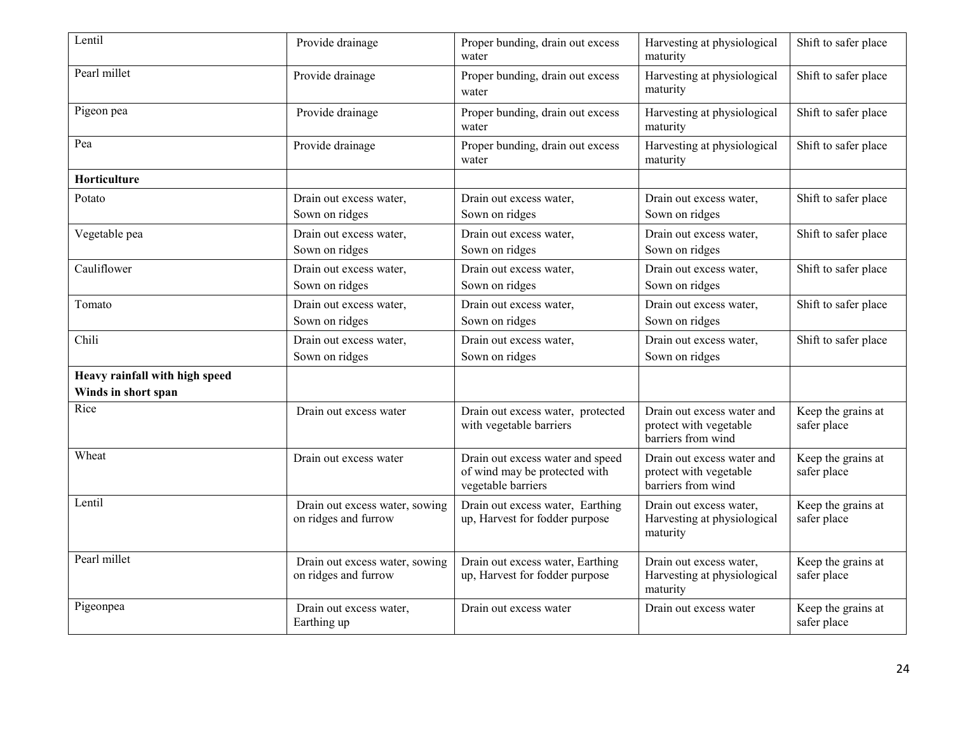| Lentil                                                | Provide drainage                                       | Proper bunding, drain out excess<br>water                                               | Harvesting at physiological<br>maturity                                    | Shift to safer place              |
|-------------------------------------------------------|--------------------------------------------------------|-----------------------------------------------------------------------------------------|----------------------------------------------------------------------------|-----------------------------------|
| Pearl millet                                          | Provide drainage                                       | Proper bunding, drain out excess<br>water                                               | Harvesting at physiological<br>maturity                                    | Shift to safer place              |
| Pigeon pea                                            | Provide drainage                                       | Proper bunding, drain out excess<br>water                                               | Harvesting at physiological<br>maturity                                    | Shift to safer place              |
| Pea                                                   | Provide drainage                                       | Proper bunding, drain out excess<br>water                                               | Harvesting at physiological<br>maturity                                    | Shift to safer place              |
| Horticulture                                          |                                                        |                                                                                         |                                                                            |                                   |
| Potato                                                | Drain out excess water,<br>Sown on ridges              | Drain out excess water,<br>Sown on ridges                                               | Drain out excess water,<br>Sown on ridges                                  | Shift to safer place              |
| Vegetable pea                                         | Drain out excess water,<br>Sown on ridges              | Drain out excess water,<br>Sown on ridges                                               | Drain out excess water,<br>Sown on ridges                                  | Shift to safer place              |
| Cauliflower                                           | Drain out excess water,<br>Sown on ridges              | Drain out excess water,<br>Sown on ridges                                               | Drain out excess water,<br>Sown on ridges                                  | Shift to safer place              |
| Tomato                                                | Drain out excess water,<br>Sown on ridges              | Drain out excess water,<br>Sown on ridges                                               | Drain out excess water,<br>Sown on ridges                                  | Shift to safer place              |
| Chili                                                 | Drain out excess water,<br>Sown on ridges              | Drain out excess water,<br>Sown on ridges                                               | Drain out excess water,<br>Sown on ridges                                  | Shift to safer place              |
| Heavy rainfall with high speed<br>Winds in short span |                                                        |                                                                                         |                                                                            |                                   |
| Rice                                                  | Drain out excess water                                 | Drain out excess water, protected<br>with vegetable barriers                            | Drain out excess water and<br>protect with vegetable<br>barriers from wind | Keep the grains at<br>safer place |
| Wheat                                                 | Drain out excess water                                 | Drain out excess water and speed<br>of wind may be protected with<br>vegetable barriers | Drain out excess water and<br>protect with vegetable<br>barriers from wind | Keep the grains at<br>safer place |
| Lentil                                                | Drain out excess water, sowing<br>on ridges and furrow | Drain out excess water, Earthing<br>up, Harvest for fodder purpose                      | Drain out excess water,<br>Harvesting at physiological<br>maturity         | Keep the grains at<br>safer place |
| Pearl millet                                          | Drain out excess water, sowing<br>on ridges and furrow | Drain out excess water, Earthing<br>up, Harvest for fodder purpose                      | Drain out excess water,<br>Harvesting at physiological<br>maturity         | Keep the grains at<br>safer place |
| Pigeonpea                                             | Drain out excess water,<br>Earthing up                 | Drain out excess water                                                                  | Drain out excess water                                                     | Keep the grains at<br>safer place |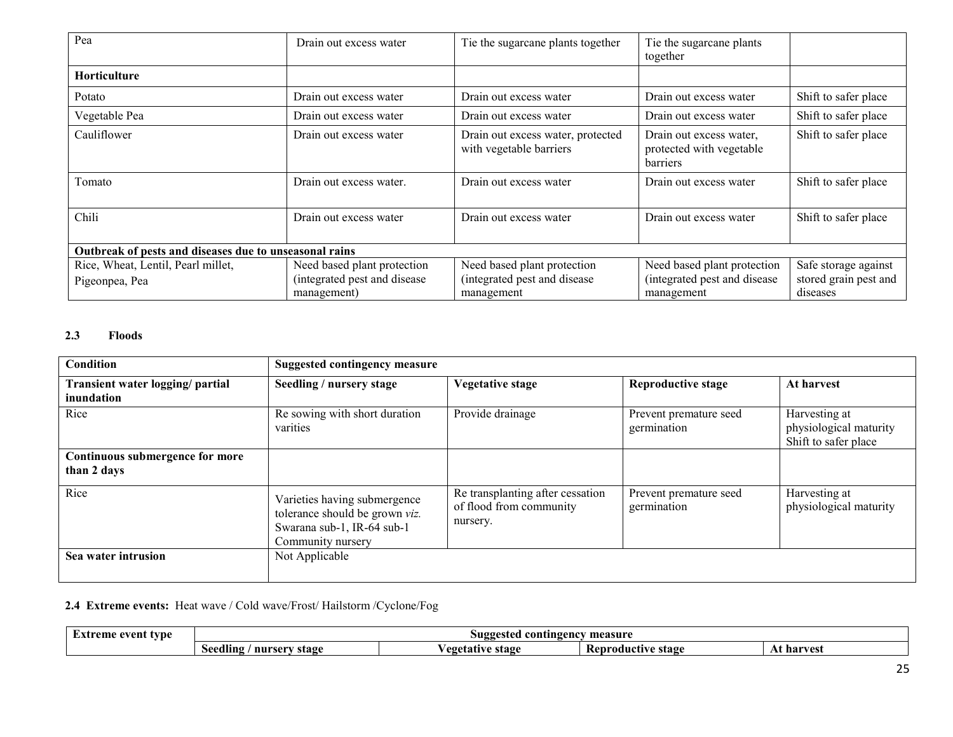| Pea                                                    | Drain out excess water       | Tie the sugarcane plants together                            | Tie the sugarcane plants<br>together                            |                       |  |  |
|--------------------------------------------------------|------------------------------|--------------------------------------------------------------|-----------------------------------------------------------------|-----------------------|--|--|
| Horticulture                                           |                              |                                                              |                                                                 |                       |  |  |
| Potato                                                 | Drain out excess water       | Drain out excess water                                       | Drain out excess water                                          | Shift to safer place  |  |  |
| Vegetable Pea                                          | Drain out excess water       | Drain out excess water                                       | Drain out excess water                                          | Shift to safer place  |  |  |
| Cauliflower                                            | Drain out excess water       | Drain out excess water, protected<br>with vegetable barriers | Drain out excess water,<br>protected with vegetable<br>barriers | Shift to safer place  |  |  |
| Tomato                                                 | Drain out excess water.      | Drain out excess water                                       | Drain out excess water                                          | Shift to safer place  |  |  |
| Chili                                                  | Drain out excess water       | Drain out excess water                                       | Drain out excess water                                          | Shift to safer place  |  |  |
| Outbreak of pests and diseases due to unseasonal rains |                              |                                                              |                                                                 |                       |  |  |
| Rice, Wheat, Lentil, Pearl millet,                     | Need based plant protection  | Need based plant protection                                  | Need based plant protection                                     | Safe storage against  |  |  |
| Pigeonpea, Pea                                         | (integrated pest and disease | (integrated pest and disease                                 | (integrated pest and disease                                    | stored grain pest and |  |  |
|                                                        | management)                  | management                                                   | management                                                      | diseases              |  |  |

## 2.3 Floods

| <b>Condition</b>                               | <b>Suggested contingency measure</b>                                                                              |                                                                         |                                       |                                                                 |  |
|------------------------------------------------|-------------------------------------------------------------------------------------------------------------------|-------------------------------------------------------------------------|---------------------------------------|-----------------------------------------------------------------|--|
| Transient water logging/ partial<br>inundation | Seedling / nursery stage                                                                                          | <b>Vegetative stage</b>                                                 | <b>Reproductive stage</b>             | At harvest                                                      |  |
| Rice                                           | Re sowing with short duration<br>varities                                                                         | Provide drainage                                                        | Prevent premature seed<br>germination | Harvesting at<br>physiological maturity<br>Shift to safer place |  |
| Continuous submergence for more<br>than 2 days |                                                                                                                   |                                                                         |                                       |                                                                 |  |
| Rice                                           | Varieties having submergence<br>tolerance should be grown viz.<br>Swarana sub-1, IR-64 sub-1<br>Community nursery | Re transplanting after cessation<br>of flood from community<br>nursery. | Prevent premature seed<br>germination | Harvesting at<br>physiological maturity                         |  |
| Sea water intrusion                            | Not Applicable                                                                                                    |                                                                         |                                       |                                                                 |  |

# 2.4 Extreme events: Heat wave / Cold wave/Frost/ Hailstorm /Cyclone/Fog

| event type | measure                                  |                               |                               |             |  |
|------------|------------------------------------------|-------------------------------|-------------------------------|-------------|--|
| eme        | contingency                              |                               |                               |             |  |
| .          | Suggested                                |                               |                               |             |  |
|            | $\cdots$<br>seedling<br>nurserv<br>stage | stage<br>AGATO TIVA<br>5. A L | – Kenr⁄<br>roductive<br>stage | har<br>VGSI |  |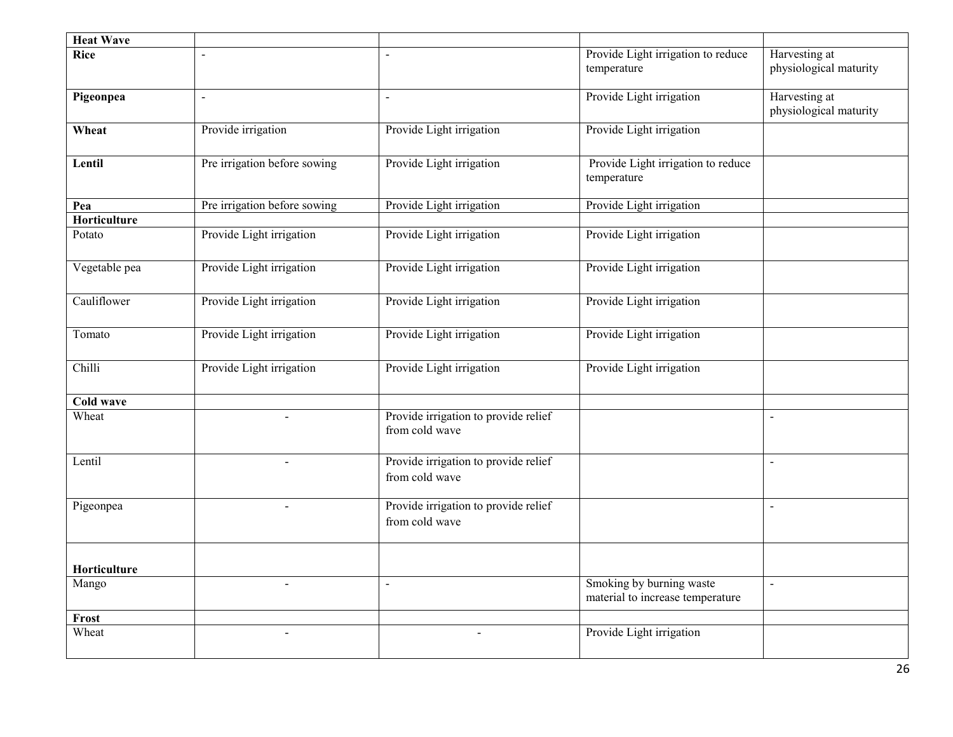| <b>Heat Wave</b> |                              |                                                        |                                                              |                                         |
|------------------|------------------------------|--------------------------------------------------------|--------------------------------------------------------------|-----------------------------------------|
| <b>Rice</b>      |                              |                                                        | Provide Light irrigation to reduce<br>temperature            | Harvesting at<br>physiological maturity |
| Pigeonpea        | $\overline{a}$               | $\sim$                                                 | Provide Light irrigation                                     | Harvesting at<br>physiological maturity |
| Wheat            | Provide irrigation           | Provide Light irrigation                               | Provide Light irrigation                                     |                                         |
| Lentil           | Pre irrigation before sowing | Provide Light irrigation                               | Provide Light irrigation to reduce<br>temperature            |                                         |
| Pea              | Pre irrigation before sowing | Provide Light irrigation                               | Provide Light irrigation                                     |                                         |
| Horticulture     |                              |                                                        |                                                              |                                         |
| Potato           | Provide Light irrigation     | Provide Light irrigation                               | Provide Light irrigation                                     |                                         |
| Vegetable pea    | Provide Light irrigation     | Provide Light irrigation                               | Provide Light irrigation                                     |                                         |
| Cauliflower      | Provide Light irrigation     | Provide Light irrigation                               | Provide Light irrigation                                     |                                         |
| Tomato           | Provide Light irrigation     | Provide Light irrigation                               | Provide Light irrigation                                     |                                         |
| Chilli           | Provide Light irrigation     | Provide Light irrigation                               | Provide Light irrigation                                     |                                         |
| Cold wave        |                              |                                                        |                                                              |                                         |
| Wheat            |                              | Provide irrigation to provide relief<br>from cold wave |                                                              | $\blacksquare$                          |
| Lentil           |                              | Provide irrigation to provide relief<br>from cold wave |                                                              | $\blacksquare$                          |
| Pigeonpea        |                              | Provide irrigation to provide relief<br>from cold wave |                                                              | $\overline{a}$                          |
| Horticulture     |                              |                                                        |                                                              |                                         |
| Mango            | $\overline{\phantom{a}}$     | $\blacksquare$                                         | Smoking by burning waste<br>material to increase temperature | $\blacksquare$                          |
| Frost            |                              |                                                        |                                                              |                                         |
| Wheat            | $\overline{a}$               |                                                        | Provide Light irrigation                                     |                                         |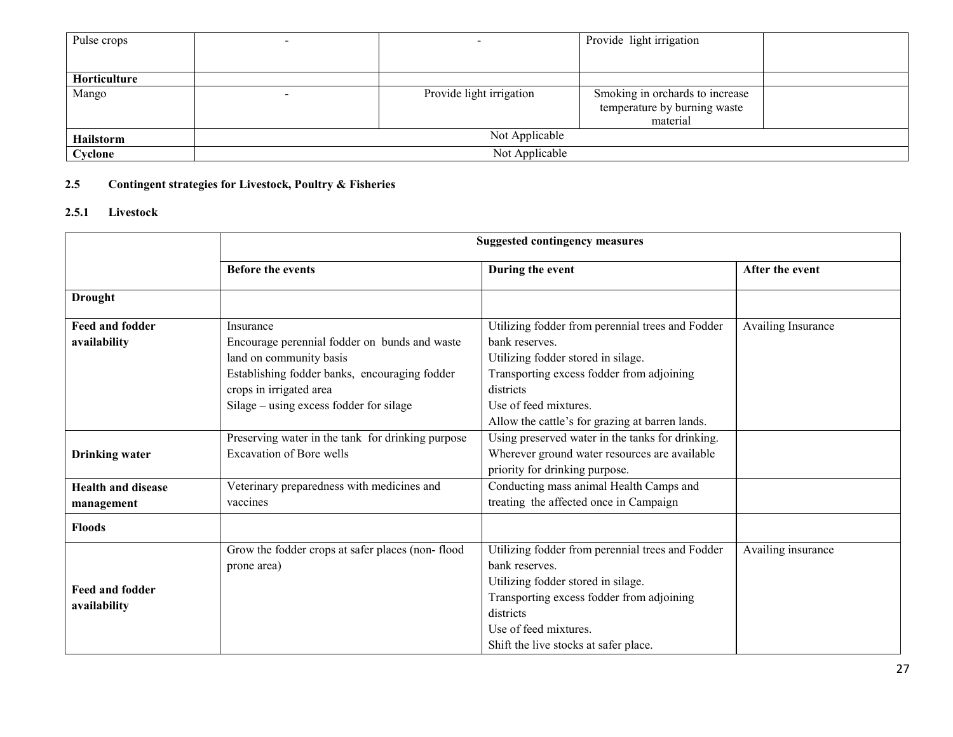| Pulse crops      |                |                          | Provide light irrigation        |  |
|------------------|----------------|--------------------------|---------------------------------|--|
|                  |                |                          |                                 |  |
| Horticulture     |                |                          |                                 |  |
| Mango            |                | Provide light irrigation | Smoking in orchards to increase |  |
|                  |                |                          | temperature by burning waste    |  |
|                  |                |                          | material                        |  |
| <b>Hailstorm</b> | Not Applicable |                          |                                 |  |
| Cyclone          | Not Applicable |                          |                                 |  |

#### 2.5 Contingent strategies for Livestock, Poultry & Fisheries

## 2.5.1 Livestock

|                                     | <b>Suggested contingency measures</b>             |                                                  |                    |  |  |
|-------------------------------------|---------------------------------------------------|--------------------------------------------------|--------------------|--|--|
|                                     | <b>Before the events</b>                          | During the event                                 | After the event    |  |  |
| <b>Drought</b>                      |                                                   |                                                  |                    |  |  |
| <b>Feed and fodder</b><br>Insurance |                                                   | Utilizing fodder from perennial trees and Fodder | Availing Insurance |  |  |
| availability                        | Encourage perennial fodder on bunds and waste     | bank reserves.                                   |                    |  |  |
|                                     | land on community basis                           | Utilizing fodder stored in silage.               |                    |  |  |
|                                     | Establishing fodder banks, encouraging fodder     | Transporting excess fodder from adjoining        |                    |  |  |
|                                     | crops in irrigated area                           | districts                                        |                    |  |  |
|                                     | Silage – using excess fodder for silage           | Use of feed mixtures.                            |                    |  |  |
|                                     |                                                   | Allow the cattle's for grazing at barren lands.  |                    |  |  |
|                                     | Preserving water in the tank for drinking purpose | Using preserved water in the tanks for drinking. |                    |  |  |
| <b>Drinking water</b>               | <b>Excavation of Bore wells</b>                   | Wherever ground water resources are available    |                    |  |  |
|                                     |                                                   | priority for drinking purpose.                   |                    |  |  |
| <b>Health and disease</b>           | Veterinary preparedness with medicines and        | Conducting mass animal Health Camps and          |                    |  |  |
| management                          | vaccines                                          | treating the affected once in Campaign           |                    |  |  |
| <b>Floods</b>                       |                                                   |                                                  |                    |  |  |
|                                     | Grow the fodder crops at safer places (non-flood  | Utilizing fodder from perennial trees and Fodder | Availing insurance |  |  |
|                                     | prone area)                                       | bank reserves.                                   |                    |  |  |
| <b>Feed and fodder</b>              |                                                   | Utilizing fodder stored in silage.               |                    |  |  |
|                                     |                                                   | Transporting excess fodder from adjoining        |                    |  |  |
| availability                        |                                                   | districts                                        |                    |  |  |
|                                     |                                                   | Use of feed mixtures.                            |                    |  |  |
|                                     |                                                   | Shift the live stocks at safer place.            |                    |  |  |